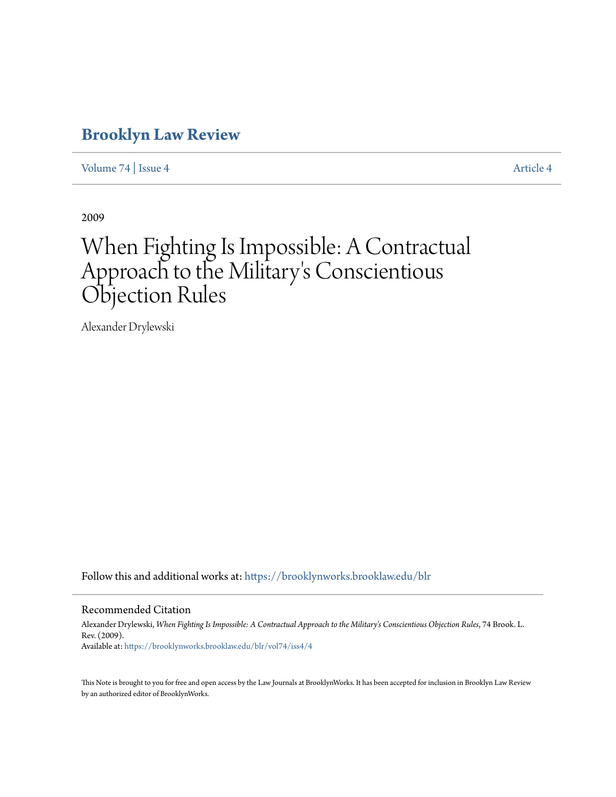### **[Brooklyn Law Review](https://brooklynworks.brooklaw.edu/blr?utm_source=brooklynworks.brooklaw.edu%2Fblr%2Fvol74%2Fiss4%2F4&utm_medium=PDF&utm_campaign=PDFCoverPages)**

[Volume 74](https://brooklynworks.brooklaw.edu/blr/vol74?utm_source=brooklynworks.brooklaw.edu%2Fblr%2Fvol74%2Fiss4%2F4&utm_medium=PDF&utm_campaign=PDFCoverPages) | [Issue 4](https://brooklynworks.brooklaw.edu/blr/vol74/iss4?utm_source=brooklynworks.brooklaw.edu%2Fblr%2Fvol74%2Fiss4%2F4&utm_medium=PDF&utm_campaign=PDFCoverPages) [Article 4](https://brooklynworks.brooklaw.edu/blr/vol74/iss4/4?utm_source=brooklynworks.brooklaw.edu%2Fblr%2Fvol74%2Fiss4%2F4&utm_medium=PDF&utm_campaign=PDFCoverPages)

2009

# When Fighting Is Impossible: A Contractual Approach to the Military 's Conscientious Objection Rules

Alexander Drylewski

Follow this and additional works at: [https://brooklynworks.brooklaw.edu/blr](https://brooklynworks.brooklaw.edu/blr?utm_source=brooklynworks.brooklaw.edu%2Fblr%2Fvol74%2Fiss4%2F4&utm_medium=PDF&utm_campaign=PDFCoverPages)

#### Recommended Citation

Alexander Drylewski, *When Fighting Is Impossible: A Contractual Approach to the Military's Conscientious Objection Rules*, 74 Brook. L. Rev. (2009). Available at: [https://brooklynworks.brooklaw.edu/blr/vol74/iss4/4](https://brooklynworks.brooklaw.edu/blr/vol74/iss4/4?utm_source=brooklynworks.brooklaw.edu%2Fblr%2Fvol74%2Fiss4%2F4&utm_medium=PDF&utm_campaign=PDFCoverPages)

This Note is brought to you for free and open access by the Law Journals at BrooklynWorks. It has been accepted for inclusion in Brooklyn Law Review by an authorized editor of BrooklynWorks.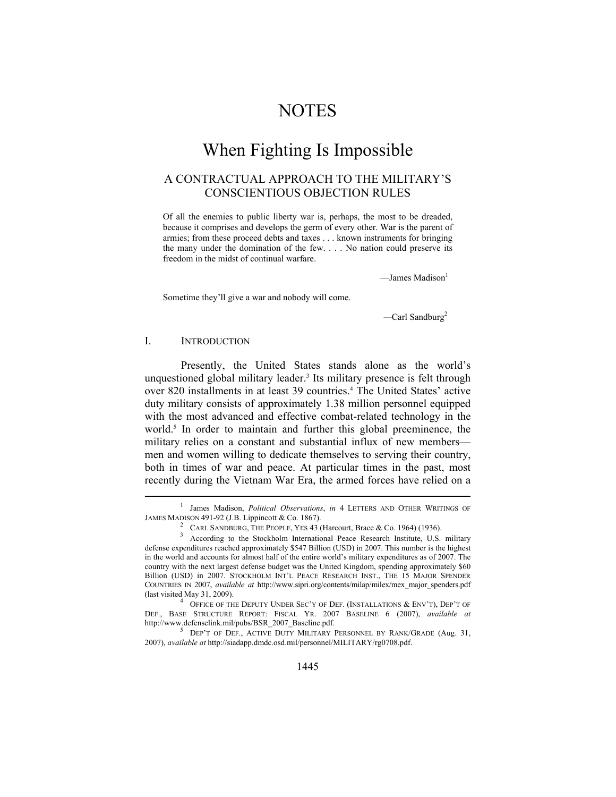### **NOTES**

## When Fighting Is Impossible

### A CONTRACTUAL APPROACH TO THE MILITARY'S CONSCIENTIOUS OBJECTION RULES

Of all the enemies to public liberty war is, perhaps, the most to be dreaded, because it comprises and develops the germ of every other. War is the parent of armies; from these proceed debts and taxes . . . known instruments for bringing the many under the domination of the few. . . . No nation could preserve its freedom in the midst of continual warfare.

 $\longrightarrow$ James Madison $<sup>1</sup>$ </sup>

Sometime they'll give a war and nobody will come.

*—*Carl Sandburg2

#### I. INTRODUCTION

 $\overline{a}$ 

Presently, the United States stands alone as the world's unquestioned global military leader.<sup>3</sup> Its military presence is felt through over 820 installments in at least 39 countries.<sup>4</sup> The United States' active duty military consists of approximately 1.38 million personnel equipped with the most advanced and effective combat-related technology in the world.<sup>5</sup> In order to maintain and further this global preeminence, the military relies on a constant and substantial influx of new members men and women willing to dedicate themselves to serving their country, both in times of war and peace. At particular times in the past, most recently during the Vietnam War Era, the armed forces have relied on a

<sup>1</sup> James Madison, *Political Observations*, *in* 4 LETTERS AND OTHER WRITINGS OF JAMES MADISON 491-92 (J.B. Lippincott & Co. 1867). 2

CARL SANDBURG, THE PEOPLE, YES 43 (Harcourt, Brace & Co. 1964) (1936).

<sup>&</sup>lt;sup>3</sup> According to the Stockholm International Peace Research Institute, U.S. military defense expenditures reached approximately \$547 Billion (USD) in 2007. This number is the highest in the world and accounts for almost half of the entire world's military expenditures as of 2007. The country with the next largest defense budget was the United Kingdom, spending approximately \$60 Billion (USD) in 2007. STOCKHOLM INT'L PEACE RESEARCH INST., THE 15 MAJOR SPENDER COUNTRIES IN 2007, *available at* http://www.sipri.org/contents/milap/milex/mex\_major\_spenders.pdf (last visited May 31, 2009).

<sup>&</sup>lt;sup>4</sup> OFFICE OF THE DEPUTY UNDER SEC'Y OF DEF. (INSTALLATIONS & ENV'T), DEP'T OF DEF., BASE STRUCTURE REPORT: FISCAL YR. 2007 BASELINE 6 (2007), *available at* http://www.defenselink.mil/pubs/BSR\_2007\_Baseline.pdf.

DEP'T OF DEF., ACTIVE DUTY MILITARY PERSONNEL BY RANK/GRADE (Aug. 31, 2007), *available at* http://siadapp.dmdc.osd.mil/personnel/MILITARY/rg0708.pdf.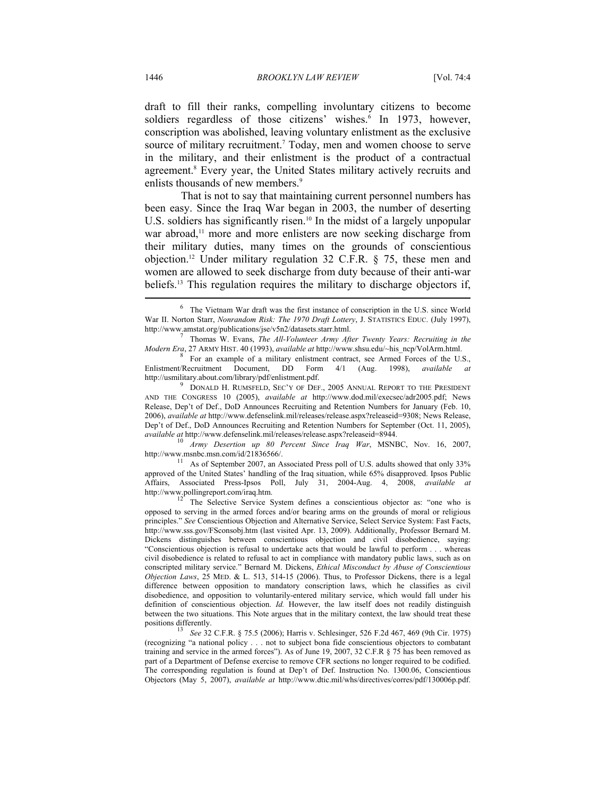draft to fill their ranks, compelling involuntary citizens to become soldiers regardless of those citizens' wishes.<sup>6</sup> In 1973, however, conscription was abolished, leaving voluntary enlistment as the exclusive source of military recruitment.<sup>7</sup> Today, men and women choose to serve in the military, and their enlistment is the product of a contractual agreement.<sup>8</sup> Every year, the United States military actively recruits and enlists thousands of new members.<sup>9</sup>

That is not to say that maintaining current personnel numbers has been easy. Since the Iraq War began in 2003, the number of deserting U.S. soldiers has significantly risen.<sup>10</sup> In the midst of a largely unpopular war abroad,<sup>11</sup> more and more enlisters are now seeking discharge from their military duties, many times on the grounds of conscientious objection.12 Under military regulation 32 C.F.R. § 75, these men and women are allowed to seek discharge from duty because of their anti-war beliefs.13 This regulation requires the military to discharge objectors if,

http://www.msnbc.msn.com/id/21836566/.<br><sup>11</sup> As of September 2007, an Associated Press poll of U.S. adults showed that only 33% approved of the United States' handling of the Iraq situation, while 65% disapproved. Ipsos Public Affairs, Associated Press-Ipsos Poll, July 31, 2004-Aug. 4, 2008, *available at*  http://www.pollingreport.com/iraq.htm.<br><sup>12</sup> The Selective Service System defines a conscientious objector as: "one who is

opposed to serving in the armed forces and/or bearing arms on the grounds of moral or religious principles." *See* Conscientious Objection and Alternative Service, Select Service System: Fast Facts, http://www.sss.gov/FSconsobj.htm (last visited Apr. 13, 2009). Additionally, Professor Bernard M. Dickens distinguishes between conscientious objection and civil disobedience, saying: "Conscientious objection is refusal to undertake acts that would be lawful to perform . . . whereas civil disobedience is related to refusal to act in compliance with mandatory public laws, such as on conscripted military service." Bernard M. Dickens, *Ethical Misconduct by Abuse of Conscientious Objection Laws*, 25 MED. & L. 513, 514-15 (2006). Thus, to Professor Dickens, there is a legal difference between opposition to mandatory conscription laws, which he classifies as civil disobedience, and opposition to voluntarily-entered military service, which would fall under his definition of conscientious objection. *Id.* However, the law itself does not readily distinguish between the two situations. This Note argues that in the military context, the law should treat these positions differently. 13 *See* 32 C.F.R. § 75.5 (2006); Harris v. Schlesinger, 526 F.2d 467, 469 (9th Cir. 1975)

(recognizing "a national policy . . . not to subject bona fide conscientious objectors to combatant training and service in the armed forces"). As of June 19, 2007, 32 C.F.R § 75 has been removed as part of a Department of Defense exercise to remove CFR sections no longer required to be codified. The corresponding regulation is found at Dep't of Def. Instruction No. 1300.06, Conscientious Objectors (May 5, 2007), *available at* http://www.dtic.mil/whs/directives/corres/pdf/130006p.pdf.

<sup>&</sup>lt;sup>6</sup> The Vietnam War draft was the first instance of conscription in the U.S. since World War II. Norton Starr, *Nonrandom Risk: The 1970 Draft Lottery*, J. STATISTICS EDUC. (July 1997), http://www.amstat.org/publications/jse/v5n2/datasets.starr.html. <sup>7</sup>

Thomas W. Evans, *The All-Volunteer Army After Twenty Years: Recruiting in the Modern Era*, 27 ARMY HIST. 40 (1993), *available at* http://www.shsu.edu/~his\_ncp/VolArm.html. 8

 $8\text{ }$  For an example of a military enlistment contract, see Armed Forces of the U.S., Enlistment/Recruitment Document, DD Form 4/1 (Aug. 1998), *available* http://usmilitary.about.com/library/pdf/enlistment.pdf. 9

**P** DONALD H. RUMSFELD, SEC'Y OF DEF., 2005 ANNUAL REPORT TO THE PRESIDENT AND THE CONGRESS 10 (2005), *available at* http://www.dod.mil/execsec/adr2005.pdf; News Release, Dep't of Def., DoD Announces Recruiting and Retention Numbers for January (Feb. 10, 2006), *available at* http://www.defenselink.mil/releases/release.aspx?releaseid=9308; News Release, Dep't of Def., DoD Announces Recruiting and Retention Numbers for September (Oct. 11, 2005), *available at* http://www.defenselink.mil/releases/release.aspx?releaseid=8944. <sup>10</sup> *Army Desertion up 80 Percent Since Iraq War*, MSNBC, Nov. 16, 2007,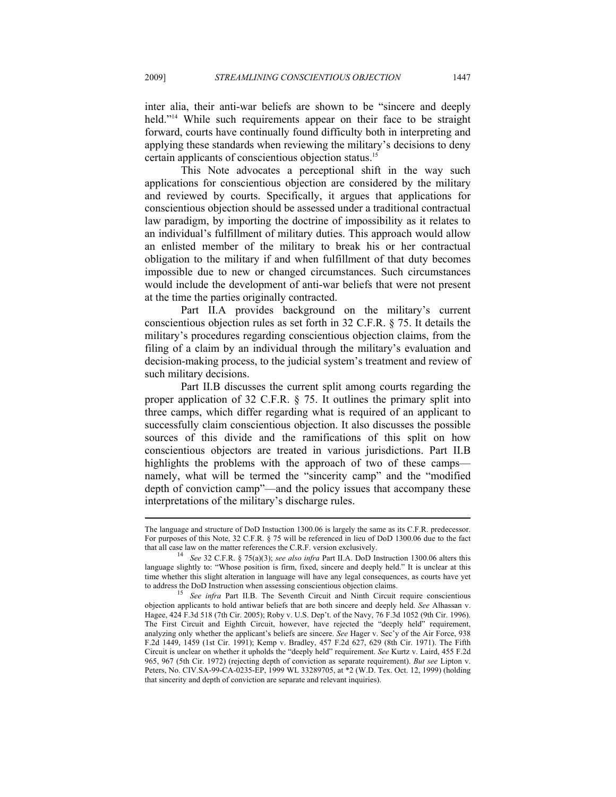inter alia, their anti-war beliefs are shown to be "sincere and deeply held."<sup>14</sup> While such requirements appear on their face to be straight forward, courts have continually found difficulty both in interpreting and applying these standards when reviewing the military's decisions to deny certain applicants of conscientious objection status.15

This Note advocates a perceptional shift in the way such applications for conscientious objection are considered by the military and reviewed by courts. Specifically, it argues that applications for conscientious objection should be assessed under a traditional contractual law paradigm, by importing the doctrine of impossibility as it relates to an individual's fulfillment of military duties. This approach would allow an enlisted member of the military to break his or her contractual obligation to the military if and when fulfillment of that duty becomes impossible due to new or changed circumstances. Such circumstances would include the development of anti-war beliefs that were not present at the time the parties originally contracted.

Part II.A provides background on the military's current conscientious objection rules as set forth in 32 C.F.R. § 75. It details the military's procedures regarding conscientious objection claims, from the filing of a claim by an individual through the military's evaluation and decision-making process, to the judicial system's treatment and review of such military decisions.

Part II.B discusses the current split among courts regarding the proper application of 32 C.F.R. § 75. It outlines the primary split into three camps, which differ regarding what is required of an applicant to successfully claim conscientious objection. It also discusses the possible sources of this divide and the ramifications of this split on how conscientious objectors are treated in various jurisdictions. Part II.B highlights the problems with the approach of two of these camps namely, what will be termed the "sincerity camp" and the "modified depth of conviction camp"—and the policy issues that accompany these interpretations of the military's discharge rules.  $\overline{a}$ 

The language and structure of DoD Instuction 1300.06 is largely the same as its C.F.R. predecessor. For purposes of this Note, 32 C.F.R. § 75 will be referenced in lieu of DoD 1300.06 due to the fact that all case law on the matter references the C.R.F. version exclusively.

See 32 C.F.R. § 75(a)(3); *see also infra* Part II.A. DoD Instruction 1300.06 alters this language slightly to: "Whose position is firm, fixed, sincere and deeply held." It is unclear at this time whether this slight alteration in language will have any legal consequences, as courts have yet to address the DoD Instruction when assessing conscientious objection claims. 15 *See infra* Part II.B. The Seventh Circuit and Ninth Circuit require conscientious

objection applicants to hold antiwar beliefs that are both sincere and deeply held. *See* Alhassan v. Hagee, 424 F.3d 518 (7th Cir. 2005); Roby v. U.S. Dep't. of the Navy, 76 F.3d 1052 (9th Cir. 1996). The First Circuit and Eighth Circuit, however, have rejected the "deeply held" requirement, analyzing only whether the applicant's beliefs are sincere. *See* Hager v. Sec'y of the Air Force, 938 F.2d 1449, 1459 (1st Cir. 1991); Kemp v. Bradley, 457 F.2d 627, 629 (8th Cir. 1971). The Fifth Circuit is unclear on whether it upholds the "deeply held" requirement. *See* Kurtz v. Laird, 455 F.2d 965, 967 (5th Cir. 1972) (rejecting depth of conviction as separate requirement). *But see* Lipton v. Peters, No. CIV.SA-99-CA-0235-EP, 1999 WL 33289705, at \*2 (W.D. Tex. Oct. 12, 1999) (holding that sincerity and depth of conviction are separate and relevant inquiries).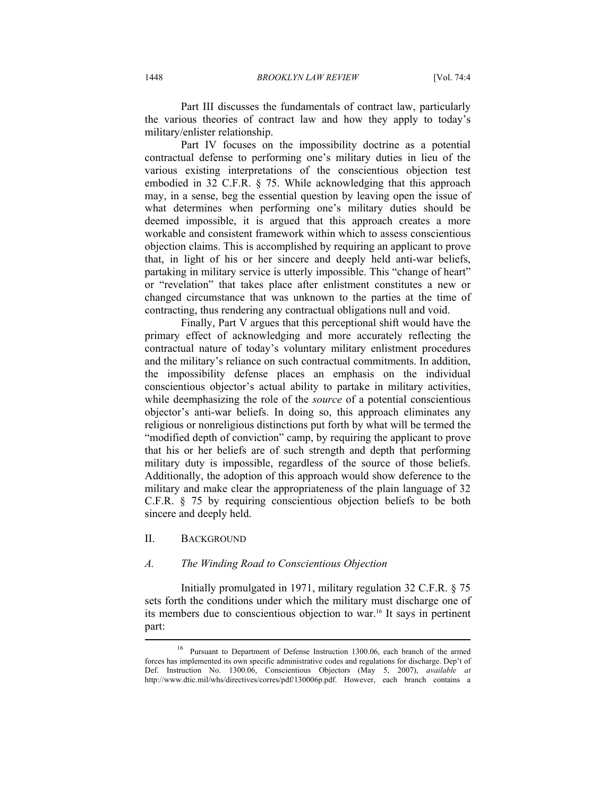Part III discusses the fundamentals of contract law, particularly the various theories of contract law and how they apply to today's military/enlister relationship.

Part IV focuses on the impossibility doctrine as a potential contractual defense to performing one's military duties in lieu of the various existing interpretations of the conscientious objection test embodied in 32 C.F.R. § 75. While acknowledging that this approach may, in a sense, beg the essential question by leaving open the issue of what determines when performing one's military duties should be deemed impossible, it is argued that this approach creates a more workable and consistent framework within which to assess conscientious objection claims. This is accomplished by requiring an applicant to prove that, in light of his or her sincere and deeply held anti-war beliefs, partaking in military service is utterly impossible. This "change of heart" or "revelation" that takes place after enlistment constitutes a new or changed circumstance that was unknown to the parties at the time of contracting, thus rendering any contractual obligations null and void.

Finally, Part V argues that this perceptional shift would have the primary effect of acknowledging and more accurately reflecting the contractual nature of today's voluntary military enlistment procedures and the military's reliance on such contractual commitments. In addition, the impossibility defense places an emphasis on the individual conscientious objector's actual ability to partake in military activities, while deemphasizing the role of the *source* of a potential conscientious objector's anti-war beliefs. In doing so, this approach eliminates any religious or nonreligious distinctions put forth by what will be termed the "modified depth of conviction" camp, by requiring the applicant to prove that his or her beliefs are of such strength and depth that performing military duty is impossible, regardless of the source of those beliefs. Additionally, the adoption of this approach would show deference to the military and make clear the appropriateness of the plain language of 32 C.F.R. § 75 by requiring conscientious objection beliefs to be both sincere and deeply held.

#### II. BACKGROUND

#### *A. The Winding Road to Conscientious Objection*

Initially promulgated in 1971, military regulation 32 C.F.R. § 75 sets forth the conditions under which the military must discharge one of its members due to conscientious objection to war.16 It says in pertinent part:

<sup>16</sup> Pursuant to Department of Defense Instruction 1300.06, each branch of the armed forces has implemented its own specific administrative codes and regulations for discharge. Dep't of Def. Instruction No. 1300.06, Conscientious Objectors (May 5, 2007), *available at*  http://www.dtic.mil/whs/directives/corres/pdf/130006p.pdf. However, each branch contains a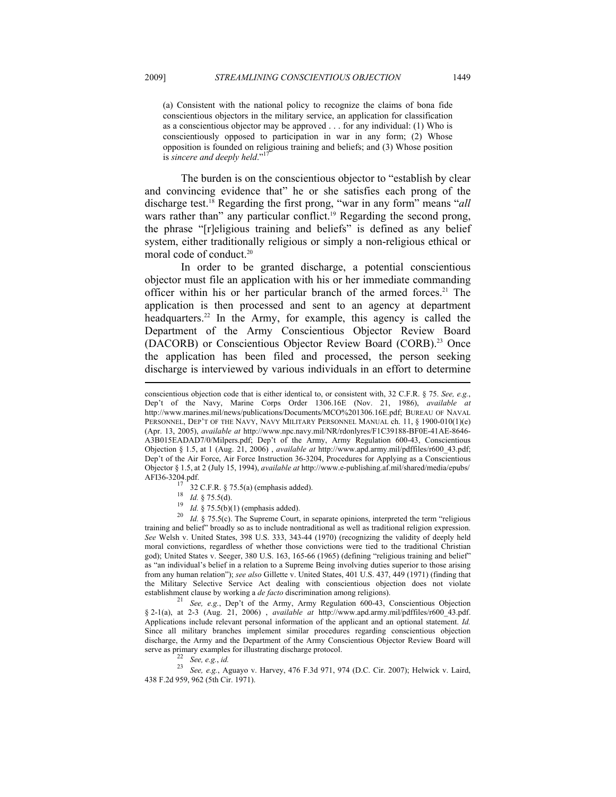(a) Consistent with the national policy to recognize the claims of bona fide conscientious objectors in the military service, an application for classification as a conscientious objector may be approved . . . for any individual: (1) Who is conscientiously opposed to participation in war in any form; (2) Whose opposition is founded on religious training and beliefs; and (3) Whose position is *sincere and deeply held*."<sup>17</sup>

The burden is on the conscientious objector to "establish by clear and convincing evidence that" he or she satisfies each prong of the discharge test.18 Regarding the first prong, "war in any form" means "*all* wars rather than" any particular conflict.<sup>19</sup> Regarding the second prong, the phrase "[r]eligious training and beliefs" is defined as any belief system, either traditionally religious or simply a non-religious ethical or moral code of conduct.20

In order to be granted discharge, a potential conscientious objector must file an application with his or her immediate commanding officer within his or her particular branch of the armed forces.<sup>21</sup> The application is then processed and sent to an agency at department headquarters.<sup>22</sup> In the Army, for example, this agency is called the Department of the Army Conscientious Objector Review Board (DACORB) or Conscientious Objector Review Board (CORB).<sup>23</sup> Once the application has been filed and processed, the person seeking discharge is interviewed by various individuals in an effort to determine

<sup>19</sup> *Id.* § 75.5(b)(1) (emphasis added). <sup>20</sup> *Id.* § 75.5(c). The Supreme Court, in separate opinions, interpreted the term "religious" training and belief" broadly so as to include nontraditional as well as traditional religion expression. *See* Welsh v. United States, 398 U.S. 333, 343-44 (1970) (recognizing the validity of deeply held moral convictions, regardless of whether those convictions were tied to the traditional Christian god); United States v. Seeger, 380 U.S. 163, 165-66 (1965) (defining "religious training and belief" as "an individual's belief in a relation to a Supreme Being involving duties superior to those arising from any human relation"); *see also* Gillette v. United States, 401 U.S. 437, 449 (1971) (finding that the Military Selective Service Act dealing with conscientious objection does not violate establishment clause by working a *de facto* discrimination among religions). 21 *See, e.g.*, Dep't of the Army, Army Regulation 600-43, Conscientious Objection

§ 2-1(a), at 2-3 (Aug. 21, 2006) , *available at* http://www.apd.army.mil/pdffiles/r600\_43.pdf. Applications include relevant personal information of the applicant and an optional statement. *Id.* Since all military branches implement similar procedures regarding conscientious objection discharge, the Army and the Department of the Army Conscientious Objector Review Board will

serve as primary examples for illustrating discharge protocol.<br><sup>22</sup> *See, e.g., id.* 23 *See, e.g., Aguayo v. Harvey, 476 F.3d 971, 974 (D.C. Cir. 2007); Helwick v. Laird,* 438 F.2d 959, 962 (5th Cir. 1971).

conscientious objection code that is either identical to, or consistent with, 32 C.F.R. § 75. *See, e.g.*, Dep't of the Navy, Marine Corps Order 1306.16E (Nov. 21, 1986), *available at*  http://www.marines.mil/news/publications/Documents/MCO%201306.16E.pdf; BUREAU OF NAVAL PERSONNEL, DEP'T OF THE NAVY, NAVY MILITARY PERSONNEL MANUAL ch. 11, § 1900-010(1)(e) (Apr. 13, 2005), *available at* http://www.npc.navy.mil/NR/rdonlyres/F1C39188-BF0E-41AE-8646- A3B015EADAD7/0/Milpers.pdf; Dep't of the Army, Army Regulation 600-43, Conscientious Objection § 1.5, at 1 (Aug. 21, 2006) , *available at* http://www.apd.army.mil/pdffiles/r600\_43.pdf; Dep't of the Air Force, Air Force Instruction 36-3204, Procedures for Applying as a Conscientious Objector § 1.5, at 2 (July 15, 1994), *available at* http://www.e-publishing.af.mil/shared/media/epubs/ AFI36-3204.pdf.<br>  $^{17}$  32 C.F.R. § 75.5(a) (emphasis added).<br>  $^{18}$  *Id.* § 75.5(d).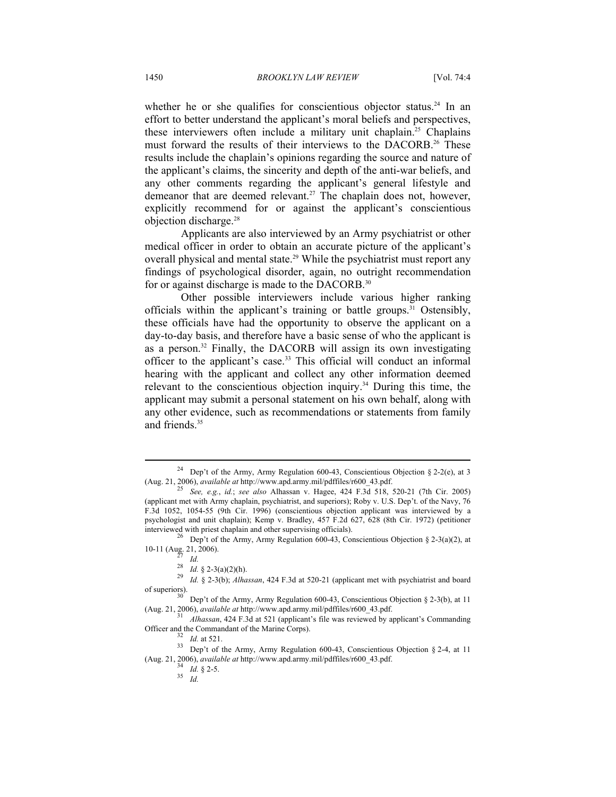whether he or she qualifies for conscientious objector status.<sup>24</sup> In an effort to better understand the applicant's moral beliefs and perspectives, these interviewers often include a military unit chaplain.25 Chaplains must forward the results of their interviews to the DACORB.<sup>26</sup> These results include the chaplain's opinions regarding the source and nature of the applicant's claims, the sincerity and depth of the anti-war beliefs, and any other comments regarding the applicant's general lifestyle and demeanor that are deemed relevant.<sup>27</sup> The chaplain does not, however, explicitly recommend for or against the applicant's conscientious objection discharge.28

Applicants are also interviewed by an Army psychiatrist or other medical officer in order to obtain an accurate picture of the applicant's overall physical and mental state.<sup>29</sup> While the psychiatrist must report any findings of psychological disorder, again, no outright recommendation for or against discharge is made to the DACORB.30

Other possible interviewers include various higher ranking officials within the applicant's training or battle groups.<sup>31</sup> Ostensibly, these officials have had the opportunity to observe the applicant on a day-to-day basis, and therefore have a basic sense of who the applicant is as a person.32 Finally, the DACORB will assign its own investigating officer to the applicant's case.33 This official will conduct an informal hearing with the applicant and collect any other information deemed relevant to the conscientious objection inquiry.<sup>34</sup> During this time, the applicant may submit a personal statement on his own behalf, along with any other evidence, such as recommendations or statements from family and friends.<sup>35</sup>

<sup>&</sup>lt;sup>24</sup> Dep't of the Army, Army Regulation 600-43, Conscientious Objection § 2-2(e), at 3 (Aug. 21, 2006), *available at* http://www.apd.army.mil/pdffiles/r600\_43.pdf.

<sup>(</sup>Aug. 21, 2006), *available at* http://www.apd.army.mil/pdffiles/r600\_43.pdf. 25 *See, e.g.*, *id.*; *see also* Alhassan v. Hagee, 424 F.3d 518, 520-21 (7th Cir. 2005) (applicant met with Army chaplain, psychiatrist, and superiors); Roby v. U.S. Dep't. of the Navy, 76 F.3d 1052, 1054-55 (9th Cir. 1996) (conscientious objection applicant was interviewed by a psychologist and unit chaplain); Kemp v. Bradley, 457 F.2d 627, 628 (8th Cir. 1972) (petitioner

interviewed with priest chaplain and other supervising officials).<br><sup>26</sup> Dep't of the Army, Army Regulation 600-43, Conscientious Objection § 2-3(a)(2), at 10-11 (Aug. 21, 2006).

<sup>&</sup>lt;sup>27</sup> *Id.*<br><sup>28</sup> *Id.* § 2-3(a)(2)(h).<br><sup>29</sup> *Id.* § 2-3(b); *Alhassan*, 424 F.3d at 520-21 (applicant met with psychiatrist and board of superiors).

<sup>&</sup>lt;sup>30</sup> Dep't of the Army, Army Regulation 600-43, Conscientious Objection § 2-3(b), at 11 (Aug. 21, 2006), *available at* http://www.apd.army.mil/pdffiles/r600\_43.pdf.

<sup>&</sup>lt;sup>31</sup> *Alhassan*, 424 F.3d at 521 (applicant's file was reviewed by applicant's Commanding

Officer and the Commandant of the Marine Corps).<br><sup>32</sup> *Id.* at 521.<br><sup>33</sup> Dep't of the Army, Army Regulation 600-43, Conscientious Objection § 2-4, at 11 (Aug. 21, 2006), *available at* http://www.apd.army.mil/pdffiles/r600\_43.pdf.  $Id. \S 2-5.$ <br>35 *Id.*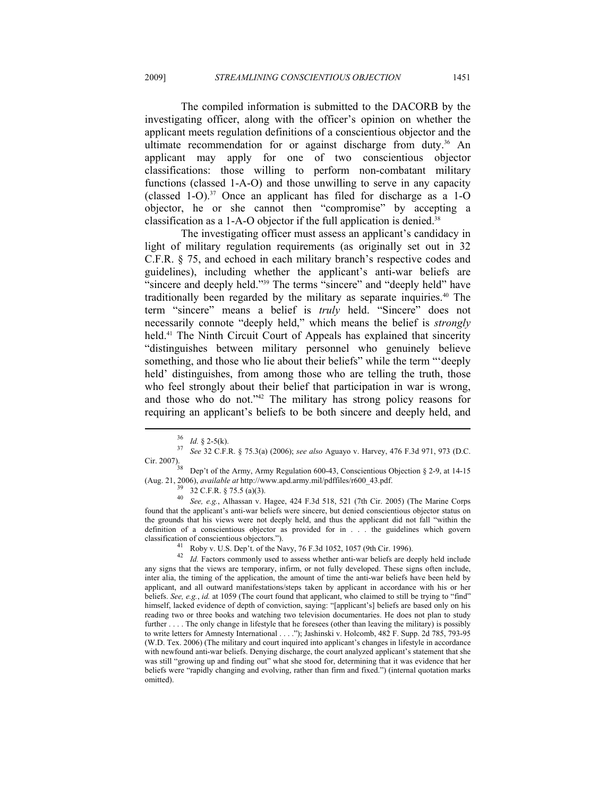The compiled information is submitted to the DACORB by the investigating officer, along with the officer's opinion on whether the applicant meets regulation definitions of a conscientious objector and the ultimate recommendation for or against discharge from duty.<sup>36</sup> An applicant may apply for one of two conscientious objector classifications: those willing to perform non-combatant military functions (classed 1-A-O) and those unwilling to serve in any capacity (classed 1-O).<sup>37</sup> Once an applicant has filed for discharge as a 1-O objector, he or she cannot then "compromise" by accepting a classification as a 1-A-O objector if the full application is denied.<sup>38</sup>

The investigating officer must assess an applicant's candidacy in light of military regulation requirements (as originally set out in 32 C.F.R. § 75, and echoed in each military branch's respective codes and guidelines), including whether the applicant's anti-war beliefs are "sincere and deeply held."<sup>39</sup> The terms "sincere" and "deeply held" have traditionally been regarded by the military as separate inquiries.<sup>40</sup> The term "sincere" means a belief is *truly* held. "Sincere" does not necessarily connote "deeply held," which means the belief is *strongly* held.<sup>41</sup> The Ninth Circuit Court of Appeals has explained that sincerity "distinguishes between military personnel who genuinely believe something, and those who lie about their beliefs" while the term "'deeply held' distinguishes, from among those who are telling the truth, those who feel strongly about their belief that participation in war is wrong, and those who do not."42 The military has strong policy reasons for requiring an applicant's beliefs to be both sincere and deeply held, and

 $\overline{a}$ 

<sup>40</sup> *See, e.g.*, Alhassan v. Hagee, 424 F.3d 518, 521 (7th Cir. 2005) (The Marine Corps found that the applicant's anti-war beliefs were sincere, but denied conscientious objector status on the grounds that his views were not deeply held, and thus the applicant did not fall "within the definition of a conscientious objector as provided for in . . . the guidelines which govern classification of conscientious objectors."). 41 Roby v. U.S. Dep't. of the Navy, 76 F.3d 1052, 1057 (9th Cir. 1996).

<sup>36</sup> *Id.* § 2-5(k). 37 *See* 32 C.F.R. § 75.3(a) (2006); *see also* Aguayo v. Harvey, 476 F.3d 971, 973 (D.C.

Cir. 2007). Dep't of the Army, Army Regulation 600-43, Conscientious Objection § 2-9, at 14-15 (Aug. 21, 2006), *available at* http://www.apd.army.mil/pdffiles/r600\_43.pdf. 39 32 C.F.R. § 75.5 (a)(3).

<sup>42</sup> *Id.* Factors commonly used to assess whether anti-war beliefs are deeply held include any signs that the views are temporary, infirm, or not fully developed. These signs often include, inter alia, the timing of the application, the amount of time the anti-war beliefs have been held by applicant, and all outward manifestations/steps taken by applicant in accordance with his or her beliefs. *See, e.g.*, *id.* at 1059 (The court found that applicant, who claimed to still be trying to "find" himself, lacked evidence of depth of conviction, saying: "[applicant's] beliefs are based only on his reading two or three books and watching two television documentaries. He does not plan to study further . . . . The only change in lifestyle that he foresees (other than leaving the military) is possibly to write letters for Amnesty International . . . ."); Jashinski v. Holcomb, 482 F. Supp. 2d 785, 793-95 (W.D. Tex. 2006) (The military and court inquired into applicant's changes in lifestyle in accordance with newfound anti-war beliefs. Denying discharge, the court analyzed applicant's statement that she was still "growing up and finding out" what she stood for, determining that it was evidence that her beliefs were "rapidly changing and evolving, rather than firm and fixed.") (internal quotation marks omitted).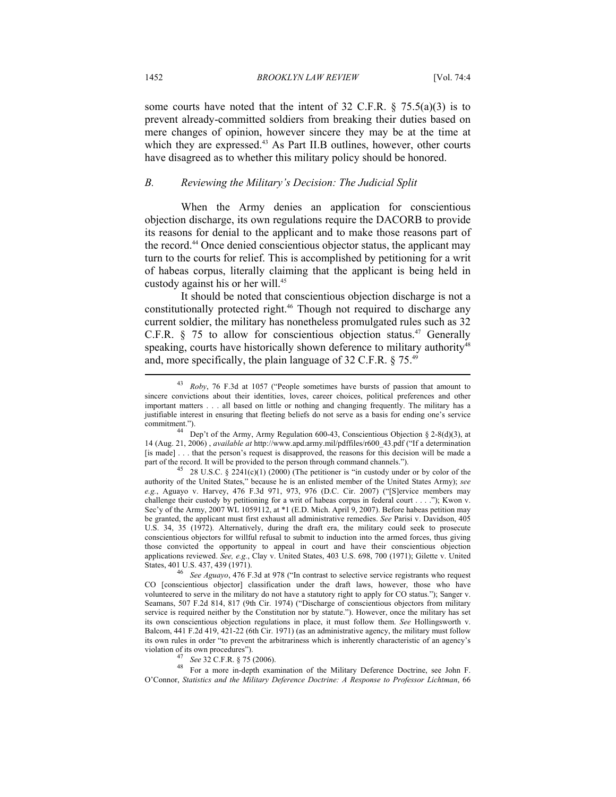some courts have noted that the intent of 32 C.F.R.  $\S$  75.5(a)(3) is to prevent already-committed soldiers from breaking their duties based on mere changes of opinion, however sincere they may be at the time at which they are expressed.<sup>43</sup> As Part II.B outlines, however, other courts have disagreed as to whether this military policy should be honored.

#### *B. Reviewing the Military's Decision: The Judicial Split*

When the Army denies an application for conscientious objection discharge, its own regulations require the DACORB to provide its reasons for denial to the applicant and to make those reasons part of the record.44 Once denied conscientious objector status, the applicant may turn to the courts for relief. This is accomplished by petitioning for a writ of habeas corpus, literally claiming that the applicant is being held in custody against his or her will.<sup>45</sup>

It should be noted that conscientious objection discharge is not a constitutionally protected right.<sup>46</sup> Though not required to discharge any current soldier, the military has nonetheless promulgated rules such as 32 C.F.R.  $§$  75 to allow for conscientious objection status.<sup>47</sup> Generally speaking, courts have historically shown deference to military authority<sup>48</sup> and, more specifically, the plain language of 32 C.F.R. § 75.49

violation of its own procedures").<br><sup>47</sup> See 32 C.F.R. § 75 (2006).<br><sup>48</sup> For a more in-depth examination of the Military Deference Doctrine, see John F. O'Connor, *Statistics and the Military Deference Doctrine: A Response to Professor Lichtman*, 66

<sup>43</sup> *Roby*, 76 F.3d at 1057 ("People sometimes have bursts of passion that amount to sincere convictions about their identities, loves, career choices, political preferences and other important matters . . . all based on little or nothing and changing frequently. The military has a justifiable interest in ensuring that fleeting beliefs do not serve as a basis for ending one's service

commitment.").  $^{44}$  Dep't of the Army, Army Regulation 600-43, Conscientious Objection § 2-8(d)(3), at 14 (Aug. 21, 2006) , *available at* http://www.apd.army.mil/pdffiles/r600\_43.pdf ("If a determination [is made] . . . that the person's request is disapproved, the reasons for this decision will be made a part of the record. It will be provided to the person through command channels.").<br>
<sup>45</sup> 28 U.S.C. § 2241(c)(1) (2000) (The petitioner is "in custody under or by color of the

authority of the United States," because he is an enlisted member of the United States Army); *see e.g.*, Aguayo v. Harvey, 476 F.3d 971, 973, 976 (D.C. Cir. 2007) ("[S]ervice members may challenge their custody by petitioning for a writ of habeas corpus in federal court . . . ."); Kwon v. Sec'y of the Army, 2007 WL 1059112, at \*1 (E.D. Mich. April 9, 2007). Before habeas petition may be granted, the applicant must first exhaust all administrative remedies. *See* Parisi v. Davidson, 405 U.S. 34, 35 (1972). Alternatively, during the draft era, the military could seek to prosecute conscientious objectors for willful refusal to submit to induction into the armed forces, thus giving those convicted the opportunity to appeal in court and have their conscientious objection applications reviewed. *See, e.g.*, Clay v. United States, 403 U.S. 698, 700 (1971); Gilette v. United

<sup>&</sup>lt;sup>46</sup> See Aguayo, 476 F.3d at 978 ("In contrast to selective service registrants who request CO [conscientious objector] classification under the draft laws, however, those who have volunteered to serve in the military do not have a statutory right to apply for CO status."); Sanger v. Seamans, 507 F.2d 814, 817 (9th Cir. 1974) ("Discharge of conscientious objectors from military service is required neither by the Constitution nor by statute."). However, once the military has set its own conscientious objection regulations in place, it must follow them. *See* Hollingsworth v. Balcom, 441 F.2d 419, 421-22 (6th Cir. 1971) (as an administrative agency, the military must follow its own rules in order "to prevent the arbitrariness which is inherently characteristic of an agency's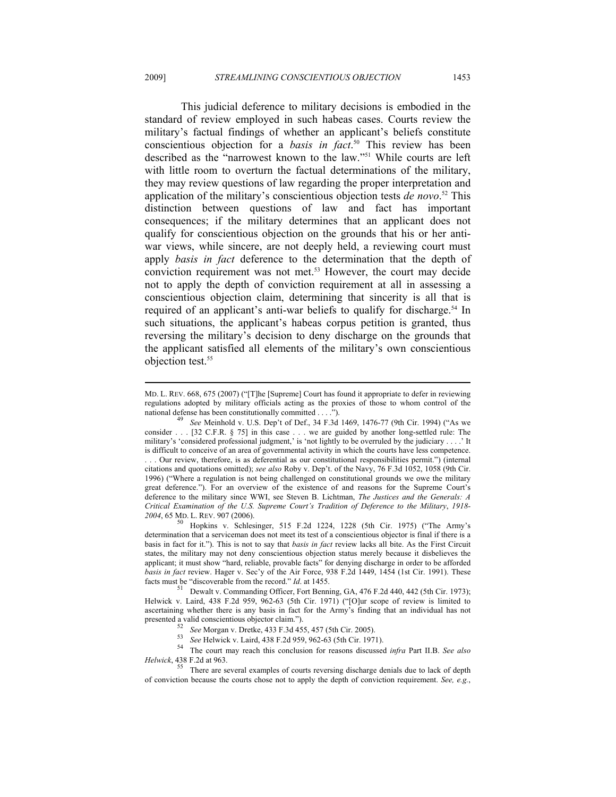This judicial deference to military decisions is embodied in the standard of review employed in such habeas cases. Courts review the military's factual findings of whether an applicant's beliefs constitute conscientious objection for a *basis in fact*. 50 This review has been described as the "narrowest known to the law."51 While courts are left with little room to overturn the factual determinations of the military, they may review questions of law regarding the proper interpretation and application of the military's conscientious objection tests *de novo*. 52 This distinction between questions of law and fact has important consequences; if the military determines that an applicant does not qualify for conscientious objection on the grounds that his or her antiwar views, while sincere, are not deeply held, a reviewing court must apply *basis in fact* deference to the determination that the depth of conviction requirement was not met.53 However, the court may decide not to apply the depth of conviction requirement at all in assessing a conscientious objection claim, determining that sincerity is all that is required of an applicant's anti-war beliefs to qualify for discharge.<sup>54</sup> In such situations, the applicant's habeas corpus petition is granted, thus reversing the military's decision to deny discharge on the grounds that the applicant satisfied all elements of the military's own conscientious objection test.<sup>55</sup>

MD. L. REV. 668, 675 (2007) ("[T]he [Supreme] Court has found it appropriate to defer in reviewing regulations adopted by military officials acting as the proxies of those to whom control of the national defense has been constitutionally committed . . . .").<br><sup>49</sup> See Meinhold v. U.S. Dep't of Def., 34 F.3d 1469, 1476-77 (9th Cir. 1994) ("As we

consider . . . [32 C.F.R. § 75] in this case . . . we are guided by another long-settled rule: The military's 'considered professional judgment,' is 'not lightly to be overruled by the judiciary . . . .' It is difficult to conceive of an area of governmental activity in which the courts have less competence. . . . Our review, therefore, is as deferential as our constitutional responsibilities permit.") (internal citations and quotations omitted); *see also* Roby v. Dep't. of the Navy, 76 F.3d 1052, 1058 (9th Cir. 1996) ("Where a regulation is not being challenged on constitutional grounds we owe the military great deference."). For an overview of the existence of and reasons for the Supreme Court's deference to the military since WWI, see Steven B. Lichtman, *The Justices and the Generals: A Critical Examination of the U.S. Supreme Court's Tradition of Deference to the Military*, *1918-*

<sup>&</sup>lt;sup>50</sup> Hopkins v. Schlesinger, 515 F.2d 1224, 1228 (5th Cir. 1975) ("The Army's determination that a serviceman does not meet its test of a conscientious objector is final if there is a basis in fact for it."). This is not to say that *basis in fact* review lacks all bite. As the First Circuit states, the military may not deny conscientious objection status merely because it disbelieves the applicant; it must show "hard, reliable, provable facts" for denying discharge in order to be afforded *basis in fact* review. Hager v. Sec'y of the Air Force, 938 F.2d 1449, 1454 (1st Cir. 1991). These facts must be "discoverable from the record." *Id.* at 1455.<br><sup>51</sup> Dewalt v. Commanding Officer, Fort Benning, GA, 476 F.2d 440, 442 (5th Cir. 1973);

Helwick v. Laird, 438 F.2d 959, 962-63 (5th Cir. 1971) ("[O]ur scope of review is limited to ascertaining whether there is any basis in fact for the Army's finding that an individual has not presented a valid conscientious objector claim.").

<sup>&</sup>lt;sup>52</sup> See Morgan v. Dretke, 433 F.3d 455, 457 (5th Cir. 2005).<br><sup>53</sup> See Helwick v. Laird, 438 F.2d 959, 962-63 (5th Cir. 1971).<br><sup>54</sup> The court may reach this conclusion for reasons discussed *infra* Part II.B. See also *Helwick*, 438 F.2d at 963.

<sup>55</sup> There are several examples of courts reversing discharge denials due to lack of depth of conviction because the courts chose not to apply the depth of conviction requirement. *See, e.g.*,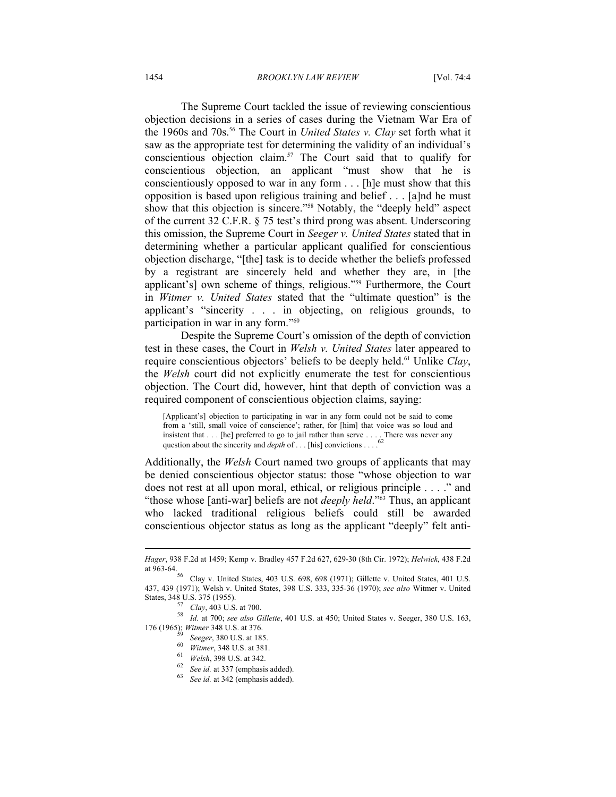The Supreme Court tackled the issue of reviewing conscientious objection decisions in a series of cases during the Vietnam War Era of the 1960s and 70s.<sup>56</sup> The Court in *United States v. Clay* set forth what it saw as the appropriate test for determining the validity of an individual's conscientious objection claim.57 The Court said that to qualify for conscientious objection, an applicant "must show that he is conscientiously opposed to war in any form . . . [h]e must show that this opposition is based upon religious training and belief . . . [a]nd he must show that this objection is sincere."58 Notably, the "deeply held" aspect of the current 32 C.F.R. § 75 test's third prong was absent. Underscoring this omission, the Supreme Court in *Seeger v. United States* stated that in determining whether a particular applicant qualified for conscientious objection discharge, "[the] task is to decide whether the beliefs professed by a registrant are sincerely held and whether they are, in [the applicant's] own scheme of things, religious."59 Furthermore, the Court in *Witmer v. United States* stated that the "ultimate question" is the applicant's "sincerity . . . in objecting, on religious grounds, to participation in war in any form."60

Despite the Supreme Court's omission of the depth of conviction test in these cases, the Court in *Welsh v. United States* later appeared to require conscientious objectors' beliefs to be deeply held.61 Unlike *Clay*, the *Welsh* court did not explicitly enumerate the test for conscientious objection. The Court did, however, hint that depth of conviction was a required component of conscientious objection claims, saying:

[Applicant's] objection to participating in war in any form could not be said to come from a 'still, small voice of conscience'; rather, for [him] that voice was so loud and insistent that . . . [he] preferred to go to jail rather than serve . . . . There was never any question about the sincerity and *depth* of . . . [his] convictions . . . .<sup>62</sup>

Additionally, the *Welsh* Court named two groups of applicants that may be denied conscientious objector status: those "whose objection to war does not rest at all upon moral, ethical, or religious principle . . . ." and "those whose [anti-war] beliefs are not *deeply held*."63 Thus, an applicant who lacked traditional religious beliefs could still be awarded conscientious objector status as long as the applicant "deeply" felt anti-

*Hager*, 938 F.2d at 1459; Kemp v. Bradley 457 F.2d 627, 629-30 (8th Cir. 1972); *Helwick*, 438 F.2d

Clay v. United States, 403 U.S. 698, 698 (1971); Gillette v. United States, 401 U.S. 437, 439 (1971); Welsh v. United States, 398 U.S. 333, 335-36 (1970); *see also* Witmer v. United

States, 348 U.S. 375 (1955). 57 *Clay*, 403 U.S. at 700. 58 *Id.* at 700; *see also Gillette*, 401 U.S. at 450; United States v. Seeger, 380 U.S. 163, 176 (1965); *Witmer* 348 U.S. at 376.<br>
<sup>59</sup> *Seeger*, 380 U.S. at 185.<br>
<sup>60</sup> *Witmer*, 348 U.S. at 381.<br>
<sup>61</sup> *Welsh*, 398 U.S. at 342.<br>
<sup>62</sup> *See id.* at 337 (emphasis added).<br>
<sup>63</sup> *See id.* at 342 (emphasis added).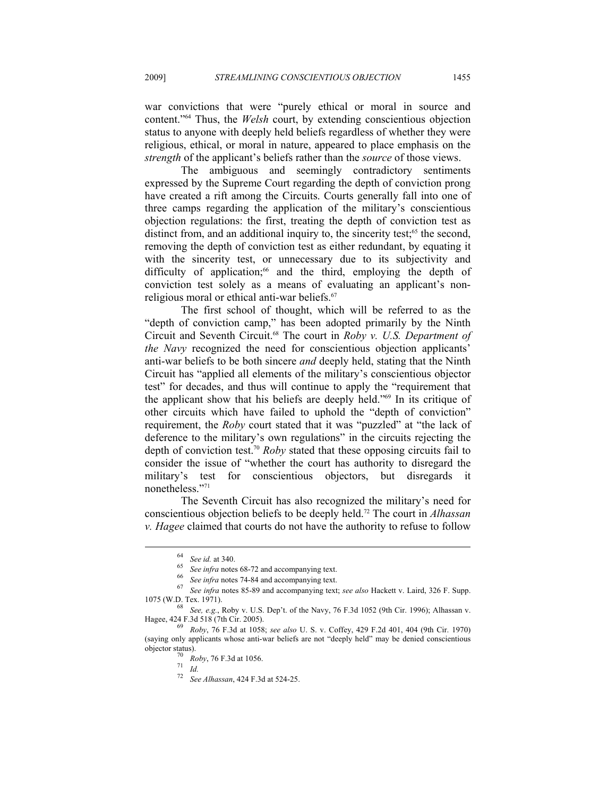war convictions that were "purely ethical or moral in source and content."64 Thus, the *Welsh* court, by extending conscientious objection status to anyone with deeply held beliefs regardless of whether they were religious, ethical, or moral in nature, appeared to place emphasis on the *strength* of the applicant's beliefs rather than the *source* of those views.

The ambiguous and seemingly contradictory sentiments expressed by the Supreme Court regarding the depth of conviction prong have created a rift among the Circuits. Courts generally fall into one of three camps regarding the application of the military's conscientious objection regulations: the first, treating the depth of conviction test as distinct from, and an additional inquiry to, the sincerity test; $65$  the second, removing the depth of conviction test as either redundant, by equating it with the sincerity test, or unnecessary due to its subjectivity and difficulty of application;<sup>66</sup> and the third, employing the depth of conviction test solely as a means of evaluating an applicant's nonreligious moral or ethical anti-war beliefs.<sup>67</sup>

The first school of thought, which will be referred to as the "depth of conviction camp," has been adopted primarily by the Ninth Circuit and Seventh Circuit.68 The court in *Roby v. U.S. Department of the Navy* recognized the need for conscientious objection applicants' anti-war beliefs to be both sincere *and* deeply held, stating that the Ninth Circuit has "applied all elements of the military's conscientious objector test" for decades, and thus will continue to apply the "requirement that the applicant show that his beliefs are deeply held."69 In its critique of other circuits which have failed to uphold the "depth of conviction" requirement, the *Roby* court stated that it was "puzzled" at "the lack of deference to the military's own regulations" in the circuits rejecting the depth of conviction test.70 *Roby* stated that these opposing circuits fail to consider the issue of "whether the court has authority to disregard the military's test for conscientious objectors, but disregards nonetheless."71

The Seventh Circuit has also recognized the military's need for conscientious objection beliefs to be deeply held.72 The court in *Alhassan v. Hagee* claimed that courts do not have the authority to refuse to follow

<sup>&</sup>lt;sup>64</sup> See id. at 340.<br>
<sup>65</sup> See infra notes 68-72 and accompanying text.<br>
<sup>66</sup> See infra notes 74-84 and accompanying text.<br>
<sup>67</sup> See infra notes 85-89 and accompanying text; *see also* Hackett v. Laird, 326 F. Supp. 1075 (W.D. Tex. 1971). 68 *See, e.g.*, Roby v. U.S. Dep't. of the Navy, 76 F.3d 1052 (9th Cir. 1996); Alhassan v.

Hagee, 424 F.3d 518 (7th Cir. 2005). 69 *Roby*, 76 F.3d at 1058; *see also* U. S. v. Coffey, 429 F.2d 401, 404 (9th Cir. 1970)

<sup>(</sup>saying only applicants whose anti-war beliefs are not "deeply held" may be denied conscientious objector status). 70 *Roby*, 76 F.3d at 1056. 71 *Id.* 72 *See Alhassan*, 424 F.3d at 524-25.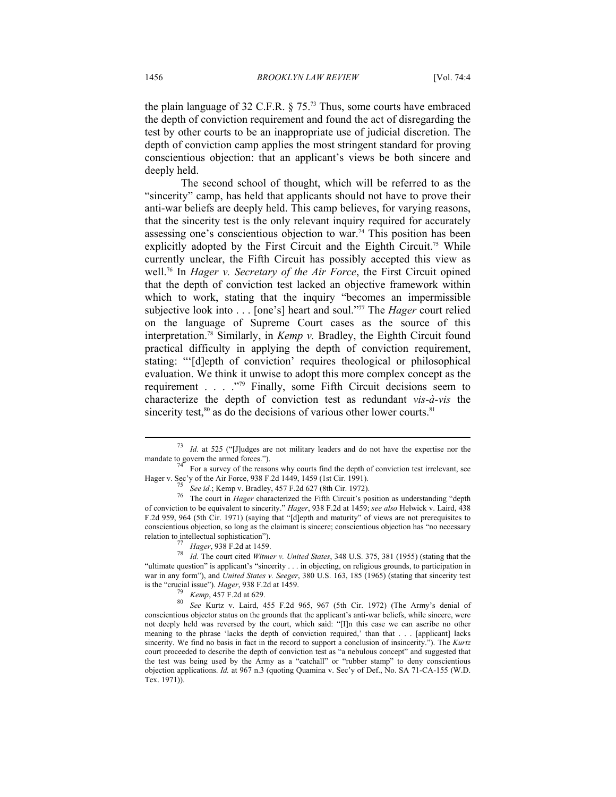the plain language of 32 C.F.R. § 75.73 Thus, some courts have embraced the depth of conviction requirement and found the act of disregarding the test by other courts to be an inappropriate use of judicial discretion. The depth of conviction camp applies the most stringent standard for proving conscientious objection: that an applicant's views be both sincere and deeply held.

The second school of thought, which will be referred to as the "sincerity" camp, has held that applicants should not have to prove their anti-war beliefs are deeply held. This camp believes, for varying reasons, that the sincerity test is the only relevant inquiry required for accurately assessing one's conscientious objection to war.<sup>74</sup> This position has been explicitly adopted by the First Circuit and the Eighth Circuit.<sup>75</sup> While currently unclear, the Fifth Circuit has possibly accepted this view as well.76 In *Hager v. Secretary of the Air Force*, the First Circuit opined that the depth of conviction test lacked an objective framework within which to work, stating that the inquiry "becomes an impermissible subjective look into . . . [one's] heart and soul."77 The *Hager* court relied on the language of Supreme Court cases as the source of this interpretation.78 Similarly, in *Kemp v.* Bradley, the Eighth Circuit found practical difficulty in applying the depth of conviction requirement, stating: "'[d]epth of conviction' requires theological or philosophical evaluation. We think it unwise to adopt this more complex concept as the requirement . . . ."79 Finally, some Fifth Circuit decisions seem to characterize the depth of conviction test as redundant *vis-à-vis* the sincerity test, $80$  as do the decisions of various other lower courts. $81$ 

*Id.* at 525 ("[J]udges are not military leaders and do not have the expertise nor the mandate to govern the armed forces."). The reasons why courts find the depth of conviction test irrelevant, see

Hager v. Sec'y of the Air Force, 938 F.2d 1449, 1459 (1st Cir. 1991).<br>
<sup>75</sup> See id.; Kemp v. Bradley, 457 F.2d 627 (8th Cir. 1972).<br>
<sup>76</sup> The court in *Hager* characterized the Fifth Circuit's position as understanding "d of conviction to be equivalent to sincerity." *Hager*, 938 F.2d at 1459; *see also* Helwick v. Laird, 438 F.2d 959, 964 (5th Cir. 1971) (saying that "[d]epth and maturity" of views are not prerequisites to conscientious objection, so long as the claimant is sincere; conscientious objection has "no necessary relation to intellectual sophistication"). 77 *Hager*, 938 F.2d at 1459. 78 *Id.* The court cited *Witmer v. United States*, 348 U.S. 375, 381 (1955) (stating that the

<sup>&</sup>quot;ultimate question" is applicant's "sincerity . . . in objecting, on religious grounds, to participation in war in any form"), and *United States v. Seeger*, 380 U.S. 163, 185 (1965) (stating that sincerity test

is the "crucial issue"). *Hager*, 938 F.2d at 1459.<br><sup>79</sup> *Kemp*, 457 F.2d at 629.<br><sup>80</sup> *See* Kurtz v. Laird, 455 F.2d 965, 967 (5th Cir. 1972) (The Army's denial of conscientious objector status on the grounds that the applicant's anti-war beliefs, while sincere, were not deeply held was reversed by the court, which said: "[I]n this case we can ascribe no other meaning to the phrase 'lacks the depth of conviction required,' than that . . . [applicant] lacks sincerity. We find no basis in fact in the record to support a conclusion of insincerity."). The *Kurtz* court proceeded to describe the depth of conviction test as "a nebulous concept" and suggested that the test was being used by the Army as a "catchall" or "rubber stamp" to deny conscientious objection applications. *Id.* at 967 n.3 (quoting Quamina v. Sec'y of Def., No. SA 71-CA-155 (W.D. Tex. 1971)).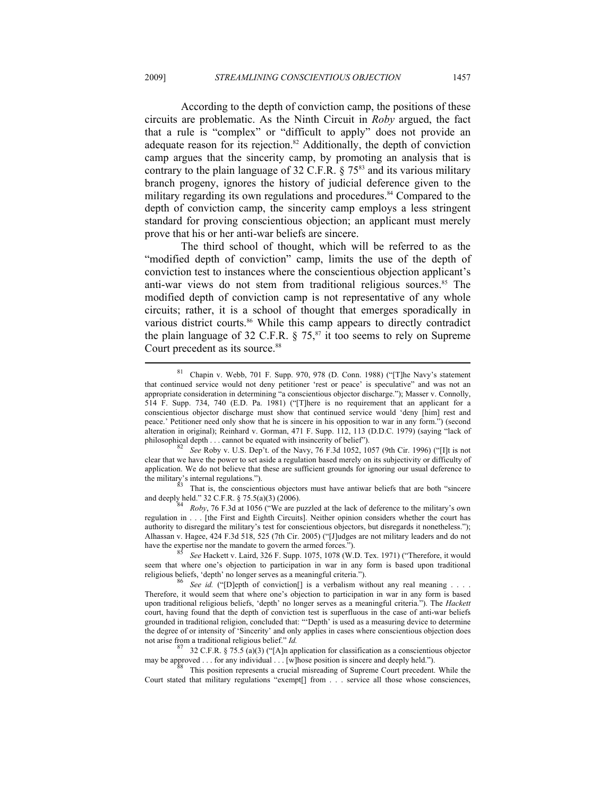According to the depth of conviction camp, the positions of these circuits are problematic. As the Ninth Circuit in *Roby* argued, the fact that a rule is "complex" or "difficult to apply" does not provide an adequate reason for its rejection. $82$  Additionally, the depth of conviction camp argues that the sincerity camp, by promoting an analysis that is contrary to the plain language of 32 C.F.R.  $\S 75^{83}$  and its various military branch progeny, ignores the history of judicial deference given to the military regarding its own regulations and procedures.<sup>84</sup> Compared to the depth of conviction camp, the sincerity camp employs a less stringent standard for proving conscientious objection; an applicant must merely prove that his or her anti-war beliefs are sincere.

The third school of thought, which will be referred to as the "modified depth of conviction" camp, limits the use of the depth of conviction test to instances where the conscientious objection applicant's anti-war views do not stem from traditional religious sources.<sup>85</sup> The modified depth of conviction camp is not representative of any whole circuits; rather, it is a school of thought that emerges sporadically in various district courts.<sup>86</sup> While this camp appears to directly contradict the plain language of 32 C.F.R.  $\S$  75, $\frac{87}{31}$  it too seems to rely on Supreme Court precedent as its source.<sup>88</sup> j

 $81$  Chapin v. Webb, 701 F. Supp. 970, 978 (D. Conn. 1988) ("[T]he Navy's statement that continued service would not deny petitioner 'rest or peace' is speculative" and was not an appropriate consideration in determining "a conscientious objector discharge."); Masser v. Connolly, 514 F. Supp. 734, 740 (E.D. Pa. 1981) ("[T]here is no requirement that an applicant for a conscientious objector discharge must show that continued service would 'deny [him] rest and peace.' Petitioner need only show that he is sincere in his opposition to war in any form.") (second alteration in original); Reinhard v. Gorman, 471 F. Supp. 112, 113 (D.D.C. 1979) (saying "lack of

philosophical depth . . . cannot be equated with insincerity of belief").<br><sup>82</sup> *See* Roby v. U.S. Dep't. of the Navy, 76 F.3d 1052, 1057 (9th Cir. 1996) ("[I]t is not clear that we have the power to set aside a regulation based merely on its subjectivity or difficulty of application. We do not believe that these are sufficient grounds for ignoring our usual deference to the military's internal regulations.").

That is, the conscientious objectors must have antiwar beliefs that are both "sincere and deeply held." 32 C.F.R. § 75.5(a)(3) (2006).

Roby, 76 F.3d at 1056 ("We are puzzled at the lack of deference to the military's own regulation in . . . [the First and Eighth Circuits]. Neither opinion considers whether the court has authority to disregard the military's test for conscientious objectors, but disregards it nonetheless."); Alhassan v. Hagee, 424 F.3d 518, 525 (7th Cir. 2005) ("[J]udges are not military leaders and do not have the expertise nor the mandate to govern the armed forces."). 85 *See* Hackett v. Laird, 326 F. Supp. 1075, 1078 (W.D. Tex. 1971) ("Therefore, it would

seem that where one's objection to participation in war in any form is based upon traditional religious beliefs, 'depth' no longer serves as a meaningful criteria.").<br><sup>86</sup> *See id.* ("[D]epth of conviction[] is a verbalism without any real meaning . . .

Therefore, it would seem that where one's objection to participation in war in any form is based upon traditional religious beliefs, 'depth' no longer serves as a meaningful criteria."). The *Hackett* court, having found that the depth of conviction test is superfluous in the case of anti-war beliefs grounded in traditional religion, concluded that: "'Depth' is used as a measuring device to determine the degree of or intensity of 'Sincerity' and only applies in cases where conscientious objection does not arise from a traditional religious belief." *Id.*<br><sup>87</sup> 32 C.F.R. § 75.5 (a)(3) ("[A]n application for classification as a conscientious objector

may be approved . . . for any individual . . . [w]hose position is sincere and deeply held.").<br><sup>88</sup> This position represents a crucial misreading of Supreme Court precedent. While the

Court stated that military regulations "exempt[] from . . . service all those whose consciences,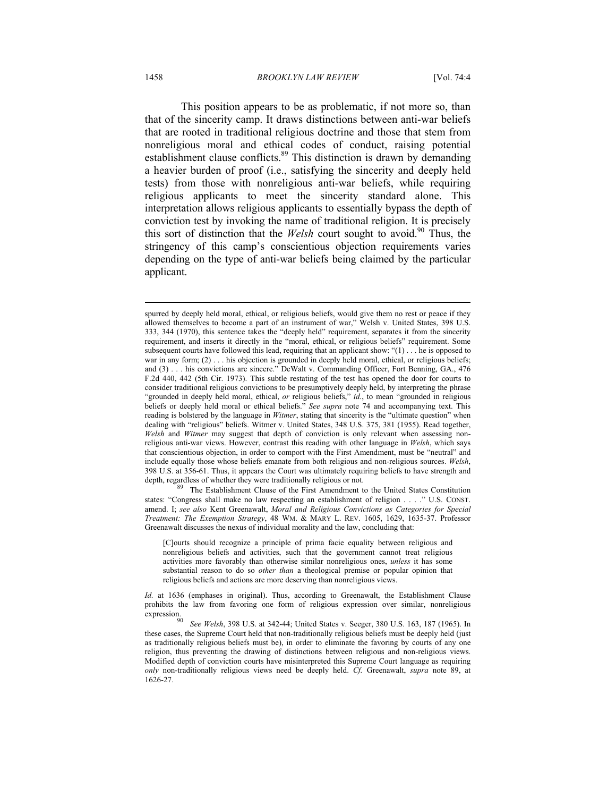This position appears to be as problematic, if not more so, than that of the sincerity camp. It draws distinctions between anti-war beliefs that are rooted in traditional religious doctrine and those that stem from nonreligious moral and ethical codes of conduct, raising potential establishment clause conflicts.<sup>89</sup> This distinction is drawn by demanding a heavier burden of proof (i.e., satisfying the sincerity and deeply held tests) from those with nonreligious anti-war beliefs, while requiring religious applicants to meet the sincerity standard alone. This interpretation allows religious applicants to essentially bypass the depth of conviction test by invoking the name of traditional religion. It is precisely this sort of distinction that the *Welsh* court sought to avoid.<sup>90</sup> Thus, the stringency of this camp's conscientious objection requirements varies depending on the type of anti-war beliefs being claimed by the particular applicant.

states: "Congress shall make no law respecting an establishment of religion . . . ." U.S. CONST. amend. I; *see also* Kent Greenawalt, *Moral and Religious Convictions as Categories for Special Treatment: The Exemption Strategy*, 48 WM. & MARY L. REV. 1605, 1629, 1635-37. Professor Greenawalt discusses the nexus of individual morality and the law, concluding that:

[C]ourts should recognize a principle of prima facie equality between religious and nonreligious beliefs and activities, such that the government cannot treat religious activities more favorably than otherwise similar nonreligious ones, *unless* it has some substantial reason to do so *other than* a theological premise or popular opinion that religious beliefs and actions are more deserving than nonreligious views.

*Id.* at 1636 (emphases in original). Thus, according to Greenawalt, the Establishment Clause prohibits the law from favoring one form of religious expression over similar, nonreligious expression. 90 *See Welsh*, 398 U.S. at 342-44; United States v. Seeger, 380 U.S. 163, 187 (1965). In

spurred by deeply held moral, ethical, or religious beliefs, would give them no rest or peace if they allowed themselves to become a part of an instrument of war," Welsh v. United States, 398 U.S. 333, 344 (1970), this sentence takes the "deeply held" requirement, separates it from the sincerity requirement, and inserts it directly in the "moral, ethical, or religious beliefs" requirement. Some subsequent courts have followed this lead, requiring that an applicant show: "(1) . . . he is opposed to war in any form; (2) . . . his objection is grounded in deeply held moral, ethical, or religious beliefs; and (3) . . . his convictions are sincere." DeWalt v. Commanding Officer, Fort Benning, GA., 476 F.2d 440, 442 (5th Cir. 1973). This subtle restating of the test has opened the door for courts to consider traditional religious convictions to be presumptively deeply held, by interpreting the phrase "grounded in deeply held moral, ethical, *or* religious beliefs," *id.*, to mean "grounded in religious beliefs or deeply held moral or ethical beliefs." *See supra* note 74 and accompanying text. This reading is bolstered by the language in *Witmer*, stating that sincerity is the "ultimate question" when dealing with "religious" beliefs. Witmer v. United States, 348 U.S. 375, 381 (1955). Read together, *Welsh* and *Witmer* may suggest that depth of conviction is only relevant when assessing nonreligious anti-war views. However, contrast this reading with other language in *Welsh*, which says that conscientious objection, in order to comport with the First Amendment, must be "neutral" and include equally those whose beliefs emanate from both religious and non-religious sources. *Welsh*, 398 U.S. at 356-61. Thus, it appears the Court was ultimately requiring beliefs to have strength and depth, regardless of whether they were traditionally religious or not.<br><sup>89</sup> The Establishment Clause of the First Amendment to the United States Constitution

these cases, the Supreme Court held that non-traditionally religious beliefs must be deeply held (just as traditionally religious beliefs must be), in order to eliminate the favoring by courts of any one religion, thus preventing the drawing of distinctions between religious and non-religious views. Modified depth of conviction courts have misinterpreted this Supreme Court language as requiring *only* non-traditionally religious views need be deeply held. *Cf.* Greenawalt, *supra* note 89, at 1626-27.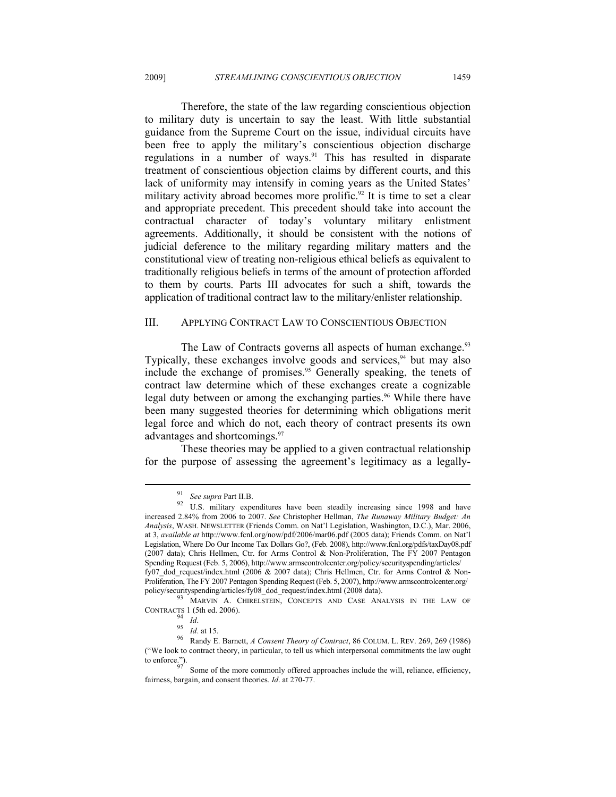Therefore, the state of the law regarding conscientious objection to military duty is uncertain to say the least. With little substantial guidance from the Supreme Court on the issue, individual circuits have been free to apply the military's conscientious objection discharge regulations in a number of ways.<sup>91</sup> This has resulted in disparate treatment of conscientious objection claims by different courts, and this lack of uniformity may intensify in coming years as the United States' military activity abroad becomes more prolific.<sup>92</sup> It is time to set a clear and appropriate precedent. This precedent should take into account the contractual character of today's voluntary military enlistment agreements. Additionally, it should be consistent with the notions of judicial deference to the military regarding military matters and the constitutional view of treating non-religious ethical beliefs as equivalent to traditionally religious beliefs in terms of the amount of protection afforded to them by courts. Parts III advocates for such a shift, towards the application of traditional contract law to the military/enlister relationship.

#### III. APPLYING CONTRACT LAW TO CONSCIENTIOUS OBJECTION

The Law of Contracts governs all aspects of human exchange.<sup>93</sup> Typically, these exchanges involve goods and services, $94$  but may also include the exchange of promises.95 Generally speaking, the tenets of contract law determine which of these exchanges create a cognizable legal duty between or among the exchanging parties.<sup>96</sup> While there have been many suggested theories for determining which obligations merit legal force and which do not, each theory of contract presents its own advantages and shortcomings.97

These theories may be applied to a given contractual relationship for the purpose of assessing the agreement's legitimacy as a legally-

<sup>&</sup>lt;sup>91</sup> See supra Part II.B.<br><sup>92</sup> U.S. military expenditures have been steadily increasing since 1998 and have increased 2.84% from 2006 to 2007. *See* Christopher Hellman, *The Runaway Military Budget: An Analysis*, WASH. NEWSLETTER (Friends Comm. on Nat'l Legislation, Washington, D.C.), Mar. 2006, at 3, *available at* http://www.fcnl.org/now/pdf/2006/mar06.pdf (2005 data); Friends Comm. on Nat'l Legislation, Where Do Our Income Tax Dollars Go?, (Feb. 2008), http://www.fcnl.org/pdfs/taxDay08.pdf (2007 data); Chris Hellmen, Ctr. for Arms Control & Non-Proliferation, The FY 2007 Pentagon Spending Request (Feb. 5, 2006), http://www.armscontrolcenter.org/policy/securityspending/articles/ fy07 dod request/index.html (2006 & 2007 data); Chris Hellmen, Ctr. for Arms Control & Non-Proliferation, The FY 2007 Pentagon Spending Request (Feb. 5, 2007), http://www.armscontrolcenter.org/

policy/securityspending/articles/fy08\_dod\_request/index.html (2008 data).<br><sup>93</sup> MARVIN A. CHIRELSTEIN, CONCEPTS AND CASE ANALYSIS IN THE LAW OF

CONTRACTS 1 (5th ed. 2006). 94 *Id*. 95 *Id*. at 15. 96 Randy E. Barnett, *A Consent Theory of Contract*, 86 COLUM. L. REV. 269, 269 (1986) ("We look to contract theory, in particular, to tell us which interpersonal commitments the law ought to enforce.").<br>Some of the more commonly offered approaches include the will, reliance, efficiency,

fairness, bargain, and consent theories. *Id*. at 270-77.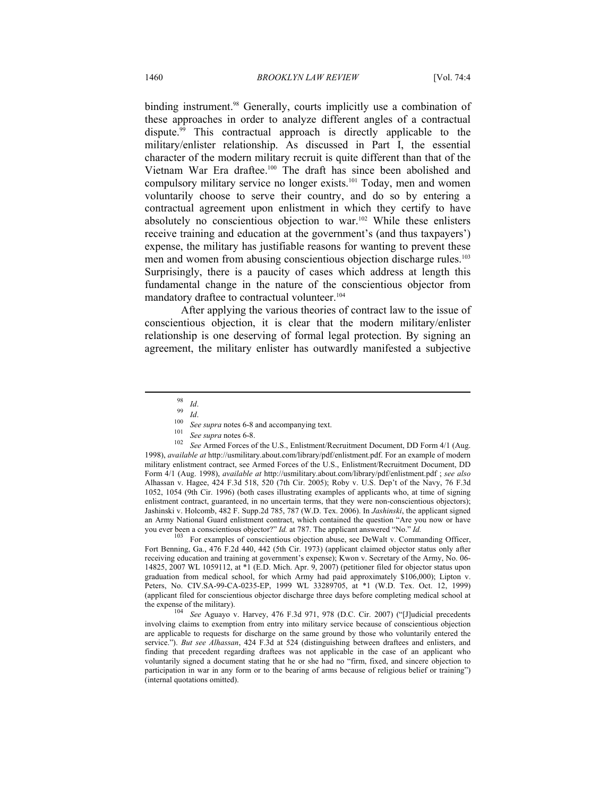binding instrument.<sup>98</sup> Generally, courts implicitly use a combination of these approaches in order to analyze different angles of a contractual dispute.99 This contractual approach is directly applicable to the military/enlister relationship. As discussed in Part I, the essential character of the modern military recruit is quite different than that of the Vietnam War Era draftee.100 The draft has since been abolished and compulsory military service no longer exists.<sup>101</sup> Today, men and women voluntarily choose to serve their country, and do so by entering a contractual agreement upon enlistment in which they certify to have absolutely no conscientious objection to war.102 While these enlisters receive training and education at the government's (and thus taxpayers') expense, the military has justifiable reasons for wanting to prevent these men and women from abusing conscientious objection discharge rules.<sup>103</sup> Surprisingly, there is a paucity of cases which address at length this fundamental change in the nature of the conscientious objector from mandatory draftee to contractual volunteer.<sup>104</sup>

After applying the various theories of contract law to the issue of conscientious objection, it is clear that the modern military/enlister relationship is one deserving of formal legal protection. By signing an agreement, the military enlister has outwardly manifested a subjective

 $\overline{a}$ 

98 *Id.*<br>
99 *Id.*<br>
<sup>100</sup> See supra notes 6-8 and accompanying text.<br>
<sup>101</sup> See supra notes 6-8.<br>
<sup>102</sup> See Armed Forces of the U.S., Enlistment/Recruitment Document, DD Form 4/1 (Aug. 1998), *available at* http://usmilitary.about.com/library/pdf/enlistment.pdf. For an example of modern military enlistment contract, see Armed Forces of the U.S., Enlistment/Recruitment Document, DD Form 4/1 (Aug. 1998), *available at* http://usmilitary.about.com/library/pdf/enlistment.pdf ; *see also*  Alhassan v. Hagee, 424 F.3d 518, 520 (7th Cir. 2005); Roby v. U.S. Dep't of the Navy, 76 F.3d 1052, 1054 (9th Cir. 1996) (both cases illustrating examples of applicants who, at time of signing enlistment contract, guaranteed, in no uncertain terms, that they were non-conscientious objectors); Jashinski v. Holcomb, 482 F. Supp.2d 785, 787 (W.D. Tex. 2006). In *Jashinski*, the applicant signed an Army National Guard enlistment contract, which contained the question "Are you now or have you ever been a conscientious objector?"  $Id$ . at 787. The applicant answered "No."  $Id$ .

<sup>103</sup> For examples of conscientious objection abuse, see DeWalt v. Commanding Officer, Fort Benning, Ga., 476 F.2d 440, 442 (5th Cir. 1973) (applicant claimed objector status only after receiving education and training at government's expense); Kwon v. Secretary of the Army, No. 06- 14825, 2007 WL 1059112, at \*1 (E.D. Mich. Apr. 9, 2007) (petitioner filed for objector status upon graduation from medical school, for which Army had paid approximately \$106,000); Lipton v. Peters, No. CIV.SA-99-CA-0235-EP, 1999 WL 33289705, at \*1 (W.D. Tex. Oct. 12, 1999) (applicant filed for conscientious objector discharge three days before completing medical school at the expense of the military). 104 *See* Aguayo v. Harvey, 476 F.3d 971, 978 (D.C. Cir. 2007) ("[J]udicial precedents

involving claims to exemption from entry into military service because of conscientious objection are applicable to requests for discharge on the same ground by those who voluntarily entered the service."). *But see Alhassan*, 424 F.3d at 524 (distinguishing between draftees and enlisters, and finding that precedent regarding draftees was not applicable in the case of an applicant who voluntarily signed a document stating that he or she had no "firm, fixed, and sincere objection to participation in war in any form or to the bearing of arms because of religious belief or training") (internal quotations omitted).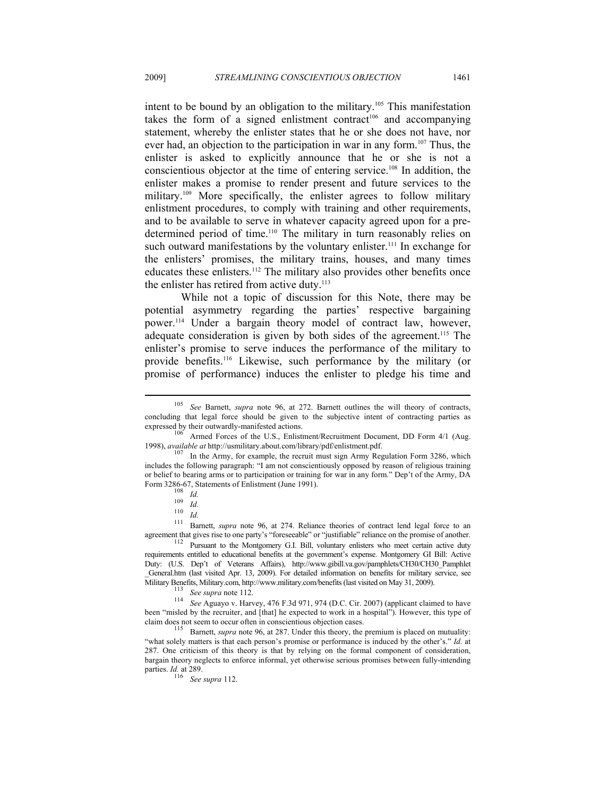intent to be bound by an obligation to the military.105 This manifestation takes the form of a signed enlistment contract<sup>106</sup> and accompanying statement, whereby the enlister states that he or she does not have, nor ever had, an objection to the participation in war in any form.<sup>107</sup> Thus, the enlister is asked to explicitly announce that he or she is not a conscientious objector at the time of entering service.108 In addition, the enlister makes a promise to render present and future services to the military.<sup>109</sup> More specifically, the enlister agrees to follow military enlistment procedures, to comply with training and other requirements, and to be available to serve in whatever capacity agreed upon for a predetermined period of time.<sup>110</sup> The military in turn reasonably relies on such outward manifestations by the voluntary enlister.<sup>111</sup> In exchange for the enlisters' promises, the military trains, houses, and many times educates these enlisters.112 The military also provides other benefits once the enlister has retired from active duty.<sup>113</sup>

While not a topic of discussion for this Note, there may be potential asymmetry regarding the parties' respective bargaining power.114 Under a bargain theory model of contract law, however, adequate consideration is given by both sides of the agreement.<sup>115</sup> The enlister's promise to serve induces the performance of the military to provide benefits.116 Likewise, such performance by the military (or promise of performance) induces the enlister to pledge his time and

<sup>105</sup> *See* Barnett, *supra* note 96, at 272. Barnett outlines the will theory of contracts, concluding that legal force should be given to the subjective intent of contracting parties as expressed by their outwardly-manifested actions.

 $^{106}$  Armed Forces of the U.S., Enlistment/Recruitment Document, DD Form 4/1 (Aug. 1998), *available at* http://usmilitary.about.com/library/pdf/enlistment.pdf.

<sup>&</sup>lt;sup>107</sup> In the Army, for example, the recruit must sign Army Regulation Form 3286, which includes the following paragraph: "I am not conscientiously opposed by reason of religious training or belief to bearing arms or to participation or training for war in any form." Dep't of the Army, DA

Form 3286-67, Statements of Enlistment (June 1991).<br>
<sup>109</sup> *Id.*<br>
<sup>110</sup> *Id.* 274. Reliance theories of contract lend legal force to an<br>
<sup>111</sup> Barnett, *supra* note 96, at 274. Reliance theories of contract lend legal forc agreement that gives rise to one party's "foreseeable" or "justifiable" reliance on the promise of another.<br><sup>112</sup> Pursuant to the Montgomery G.I. Bill, voluntary enlisters who meet certain active duty

requirements entitled to educational benefits at the government's expense. Montgomery GI Bill: Active Duty: (U.S. Dep't of Veterans Affairs), http://www.gibill.va.gov/pamphlets/CH30/CH30\_Pamphlet \_General.htm (last visited Apr. 13, 2009). For detailed information on benefits for military service, see

Military Benefits (last visited on Military.com, 114 *See Aguayo v. Harvey, 476 F.3d 971, 974* (D.C. Cir. 2007). 114 See Aguayo v. Harvey, 476 F.3d 971, 974 (D.C. Cir. 2007) (applicant claimed to have been "misled by the recruiter, and [that] he expected to work in a hospital"). However, this type of claim does not seem to occur often in conscientious objection cases.

<sup>&</sup>lt;sup>115</sup> Barnett, *supra* note 96, at 287. Under this theory, the premium is placed on mutuality: "what solely matters is that each person's promise or performance is induced by the other's." *Id.* at 287. One criticism of this theory is that by relying on the formal component of consideration, bargain theory neglects to enforce informal, yet otherwise serious promises between fully-intending parties. *Id.* at 289.

<sup>116</sup> *See supra* 112.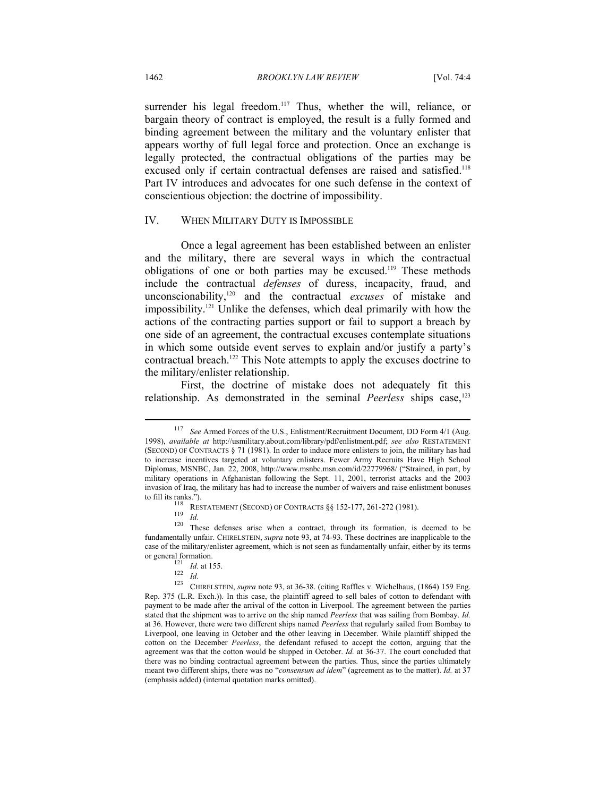surrender his legal freedom.<sup>117</sup> Thus, whether the will, reliance, or bargain theory of contract is employed, the result is a fully formed and binding agreement between the military and the voluntary enlister that appears worthy of full legal force and protection. Once an exchange is legally protected, the contractual obligations of the parties may be excused only if certain contractual defenses are raised and satisfied.<sup>118</sup> Part IV introduces and advocates for one such defense in the context of conscientious objection: the doctrine of impossibility.

#### IV. WHEN MILITARY DUTY IS IMPOSSIBLE

Once a legal agreement has been established between an enlister and the military, there are several ways in which the contractual obligations of one or both parties may be excused.119 These methods include the contractual *defenses* of duress, incapacity, fraud, and unconscionability,120 and the contractual *excuses* of mistake and impossibility.121 Unlike the defenses, which deal primarily with how the actions of the contracting parties support or fail to support a breach by one side of an agreement, the contractual excuses contemplate situations in which some outside event serves to explain and/or justify a party's contractual breach.<sup>122</sup> This Note attempts to apply the excuses doctrine to the military/enlister relationship.

First, the doctrine of mistake does not adequately fit this relationship. As demonstrated in the seminal *Peerless* ships case,<sup>123</sup>

<sup>117</sup> *See* Armed Forces of the U.S., Enlistment/Recruitment Document, DD Form 4/1 (Aug. 1998), *available at* http://usmilitary.about.com/library/pdf/enlistment.pdf; *see also* RESTATEMENT (SECOND) OF CONTRACTS § 71 (1981). In order to induce more enlisters to join, the military has had to increase incentives targeted at voluntary enlisters. Fewer Army Recruits Have High School Diplomas, MSNBC, Jan. 22, 2008, http://www.msnbc.msn.com/id/22779968/ ("Strained, in part, by military operations in Afghanistan following the Sept. 11, 2001, terrorist attacks and the 2003 invasion of Iraq, the military has had to increase the number of waivers and raise enlistment bonuses

to fill its ranks.").<br><sup>118</sup> RESTATEMENT (SECOND) OF CONTRACTS §§ 152-177, 261-272 (1981).<br><sup>119</sup> *Id.*<br><sup>120</sup> These defenses arise when a contract, through its formation, is deemed to be fundamentally unfair. CHIRELSTEIN, *supra* note 93, at 74-93. These doctrines are inapplicable to the case of the military/enlister agreement, which is not seen as fundamentally unfair, either by its terms

or general formation.<br>
<sup>121</sup> *Id.* at 155.<br>
<sup>122</sup> *Id.* CHIRELSTEIN, *supra* note 93, at 36-38. (citing Raffles v. Wichelhaus, (1864) 159 Eng. Rep. 375 (L.R. Exch.)). In this case, the plaintiff agreed to sell bales of cotton to defendant with payment to be made after the arrival of the cotton in Liverpool. The agreement between the parties stated that the shipment was to arrive on the ship named *Peerless* that was sailing from Bombay. *Id.* at 36. However, there were two different ships named *Peerless* that regularly sailed from Bombay to Liverpool, one leaving in October and the other leaving in December. While plaintiff shipped the cotton on the December *Peerless*, the defendant refused to accept the cotton, arguing that the agreement was that the cotton would be shipped in October. *Id.* at 36-37. The court concluded that there was no binding contractual agreement between the parties. Thus, since the parties ultimately meant two different ships, there was no "*consensum ad idem*" (agreement as to the matter). *Id.* at 37 (emphasis added) (internal quotation marks omitted).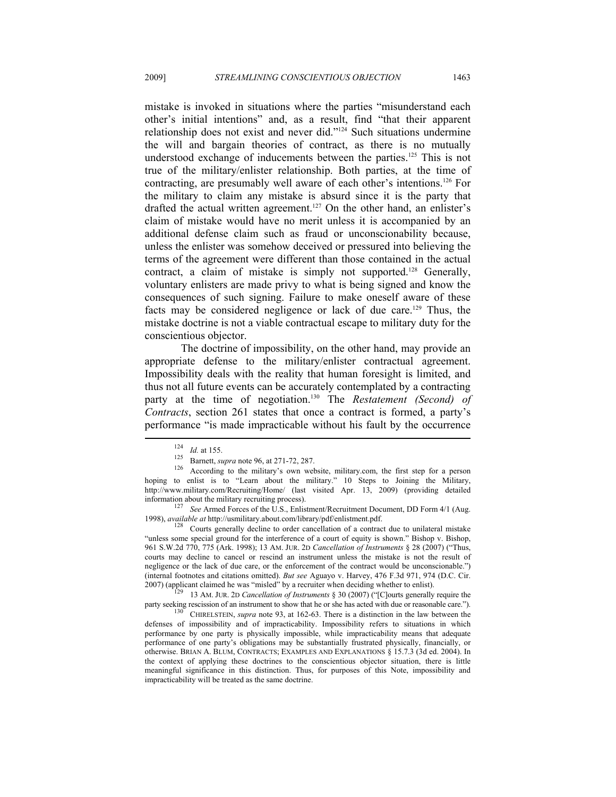mistake is invoked in situations where the parties "misunderstand each other's initial intentions" and, as a result, find "that their apparent relationship does not exist and never did."124 Such situations undermine the will and bargain theories of contract, as there is no mutually understood exchange of inducements between the parties.<sup>125</sup> This is not true of the military/enlister relationship. Both parties, at the time of contracting, are presumably well aware of each other's intentions.126 For the military to claim any mistake is absurd since it is the party that drafted the actual written agreement.<sup>127</sup> On the other hand, an enlister's claim of mistake would have no merit unless it is accompanied by an additional defense claim such as fraud or unconscionability because, unless the enlister was somehow deceived or pressured into believing the terms of the agreement were different than those contained in the actual contract, a claim of mistake is simply not supported.<sup>128</sup> Generally, voluntary enlisters are made privy to what is being signed and know the consequences of such signing. Failure to make oneself aware of these facts may be considered negligence or lack of due care.129 Thus, the mistake doctrine is not a viable contractual escape to military duty for the conscientious objector.

The doctrine of impossibility, on the other hand, may provide an appropriate defense to the military/enlister contractual agreement. Impossibility deals with the reality that human foresight is limited, and thus not all future events can be accurately contemplated by a contracting party at the time of negotiation.<sup>130</sup> The *Restatement (Second) of Contracts*, section 261 states that once a contract is formed, a party's performance "is made impracticable without his fault by the occurrence

<sup>124</sup> *Id.* at 155.<br>
125 Barnett, *supra* note 96, at 271-72, 287.<br>
126 According to the military's own website, military.com, the first step for a person hoping to enlist is to "Learn about the military." 10 Steps to Joining the Military, http://www.military.com/Recruiting/Home/ (last visited Apr. 13, 2009) (providing detailed information about the military recruiting process). 127 *See* Armed Forces of the U.S., Enlistment/Recruitment Document, DD Form 4/1 (Aug.

<sup>1998),</sup> *available at* http://usmilitary.about.com/library/pdf/enlistment.pdf. 128 Courts generally decline to order cancellation of a contract due to unilateral mistake

<sup>&</sup>quot;unless some special ground for the interference of a court of equity is shown." Bishop v. Bishop, 961 S.W.2d 770, 775 (Ark. 1998); 13 AM. JUR. 2D *Cancellation of Instruments* § 28 (2007) ("Thus, courts may decline to cancel or rescind an instrument unless the mistake is not the result of negligence or the lack of due care, or the enforcement of the contract would be unconscionable.") (internal footnotes and citations omitted). *But see* Aguayo v. Harvey, 476 F.3d 971, 974 (D.C. Cir.

<sup>&</sup>lt;sup>229</sup> 13 AM. JUR. 2D *Cancellation of Instruments* § 30 (2007) ("[C]ourts generally require the party seeking rescission of an instrument to show that he or she has acted with due or reasonable care."). CHIRELSTEIN, *supra* note 93, at 162-63. There is a distinction in the law between the

defenses of impossibility and of impracticability. Impossibility refers to situations in which performance by one party is physically impossible, while impracticability means that adequate performance of one party's obligations may be substantially frustrated physically, financially, or otherwise. BRIAN A. BLUM, CONTRACTS; EXAMPLES AND EXPLANATIONS § 15.7.3 (3d ed. 2004). In the context of applying these doctrines to the conscientious objector situation, there is little meaningful significance in this distinction. Thus, for purposes of this Note, impossibility and impracticability will be treated as the same doctrine.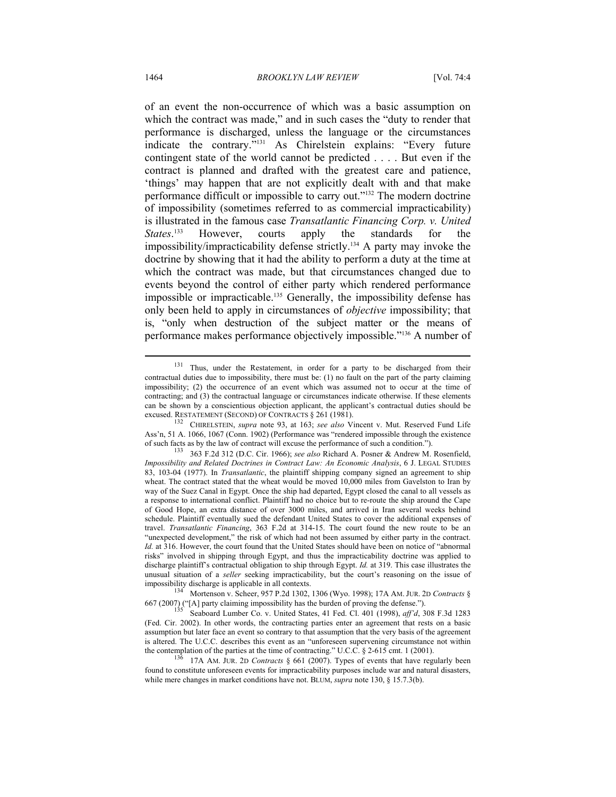of an event the non-occurrence of which was a basic assumption on which the contract was made," and in such cases the "duty to render that performance is discharged, unless the language or the circumstances indicate the contrary."131 As Chirelstein explains: "Every future contingent state of the world cannot be predicted . . . . But even if the contract is planned and drafted with the greatest care and patience, 'things' may happen that are not explicitly dealt with and that make performance difficult or impossible to carry out."<sup>132</sup> The modern doctrine of impossibility (sometimes referred to as commercial impracticability) is illustrated in the famous case *Transatlantic Financing Corp. v. United States*. However, courts apply the standards for the impossibility/impracticability defense strictly.134 A party may invoke the doctrine by showing that it had the ability to perform a duty at the time at which the contract was made, but that circumstances changed due to events beyond the control of either party which rendered performance impossible or impracticable.135 Generally, the impossibility defense has only been held to apply in circumstances of *objective* impossibility; that is, "only when destruction of the subject matter or the means of performance makes performance objectively impossible."136 A number of

<sup>&</sup>lt;sup>131</sup> Thus, under the Restatement, in order for a party to be discharged from their contractual duties due to impossibility, there must be: (1) no fault on the part of the party claiming impossibility; (2) the occurrence of an event which was assumed not to occur at the time of contracting; and (3) the contractual language or circumstances indicate otherwise. If these elements can be shown by a conscientious objection applicant, the applicant's contractual duties should be excused. RESTATEMENT (SECOND) OF CONTRACTS § 261 (1981).<br><sup>132</sup> CHIRELSTEIN, *supra* note 93, at 163; *see also* Vincent v. Mut. Reserved Fund Life

Ass'n, 51 A. 1066, 1067 (Conn. 1902) (Performance was "rendered impossible through the existence of such facts as by the law of contract will excuse the performance of such a condition.").

<sup>133 363</sup> F.2d 312 (D.C. Cir. 1966); *see also* Richard A. Posner & Andrew M. Rosenfield, *Impossibility and Related Doctrines in Contract Law: An Economic Analysis*, 6 J. LEGAL STUDIES 83, 103-04 (1977). In *Transatlantic*, the plaintiff shipping company signed an agreement to ship wheat. The contract stated that the wheat would be moved 10,000 miles from Gavelston to Iran by way of the Suez Canal in Egypt. Once the ship had departed, Egypt closed the canal to all vessels as a response to international conflict. Plaintiff had no choice but to re-route the ship around the Cape of Good Hope, an extra distance of over 3000 miles, and arrived in Iran several weeks behind schedule. Plaintiff eventually sued the defendant United States to cover the additional expenses of travel. *Transatlantic Financing*, 363 F.2d at 314-15. The court found the new route to be an "unexpected development," the risk of which had not been assumed by either party in the contract. *Id.* at 316. However, the court found that the United States should have been on notice of "abnormal" risks" involved in shipping through Egypt, and thus the impracticability doctrine was applied to discharge plaintiff's contractual obligation to ship through Egypt. *Id.* at 319. This case illustrates the unusual situation of a *seller* seeking impracticability, but the court's reasoning on the issue of

impossibility discharge is applicable in all contexts.<br><sup>134</sup> Mortenson v. Scheer, 957 P.2d 1302, 1306 (Wyo. 1998); 17A AM. JUR. 2D *Contracts* § 667 (2007) ("[A] party claiming impossibility has the burden of proving the defense."). 135 Seaboard Lumber Co. v. United States, 41 Fed. Cl. 401 (1998), *aff'd*, 308 F.3d 1283

<sup>(</sup>Fed. Cir. 2002). In other words, the contracting parties enter an agreement that rests on a basic assumption but later face an event so contrary to that assumption that the very basis of the agreement is altered. The U.C.C. describes this event as an "unforeseen supervening circumstance not within the contemplation of the parties at the time of contracting." U.C.C. § 2-615 cmt. 1 (2001). <sup>136</sup> 17A AM. JUR. 2D *Contracts* § 661 (2007). Types of events that have regularly been

found to constitute unforeseen events for impracticability purposes include war and natural disasters, while mere changes in market conditions have not. BLUM, *supra* note 130, § 15.7.3(b).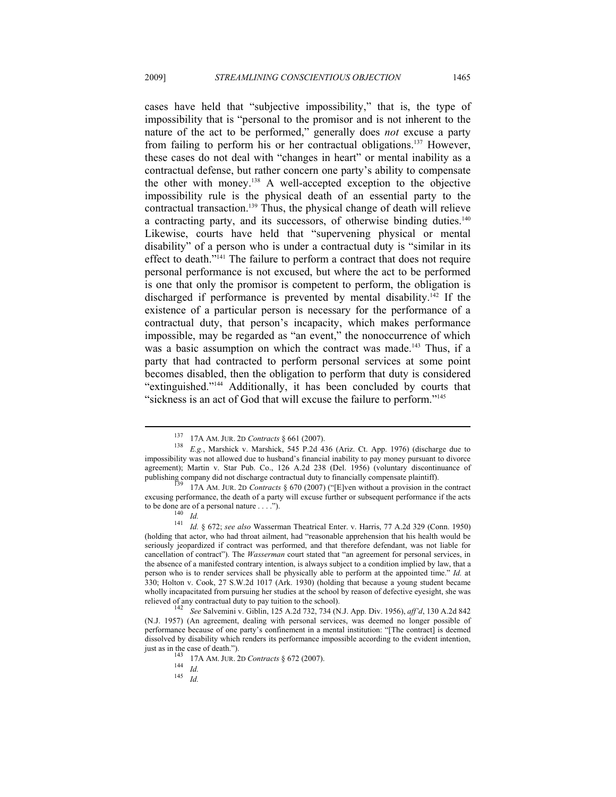cases have held that "subjective impossibility," that is, the type of impossibility that is "personal to the promisor and is not inherent to the nature of the act to be performed," generally does *not* excuse a party from failing to perform his or her contractual obligations.137 However, these cases do not deal with "changes in heart" or mental inability as a contractual defense, but rather concern one party's ability to compensate the other with money.138 A well-accepted exception to the objective impossibility rule is the physical death of an essential party to the contractual transaction.139 Thus, the physical change of death will relieve a contracting party, and its successors, of otherwise binding duties.<sup>140</sup> Likewise, courts have held that "supervening physical or mental disability" of a person who is under a contractual duty is "similar in its effect to death."141 The failure to perform a contract that does not require personal performance is not excused, but where the act to be performed is one that only the promisor is competent to perform, the obligation is discharged if performance is prevented by mental disability.<sup>142</sup> If the existence of a particular person is necessary for the performance of a contractual duty, that person's incapacity, which makes performance impossible, may be regarded as "an event," the nonoccurrence of which was a basic assumption on which the contract was made.<sup>143</sup> Thus, if a party that had contracted to perform personal services at some point becomes disabled, then the obligation to perform that duty is considered "extinguished."144 Additionally, it has been concluded by courts that "sickness is an act of God that will excuse the failure to perform."<sup>145</sup>

<sup>137 17</sup>A AM. JUR. 2D *Contracts* § 661 (2007). 138 *E.g.*, Marshick v. Marshick, 545 P.2d 436 (Ariz. Ct. App. 1976) (discharge due to impossibility was not allowed due to husband's financial inability to pay money pursuant to divorce agreement); Martin v. Star Pub. Co., 126 A.2d 238 (Del. 1956) (voluntary discontinuance of publishing company did not discharge contractual duty to financially compensate plaintiff). 139 17A AM. JUR. 2D *Contracts* § 670 (2007) ("[E]ven without a provision in the contract

excusing performance, the death of a party will excuse further or subsequent performance if the acts to be done are of a personal nature . . . .").<br>
<sup>140</sup> *Id.* 141 *Id.* § 672; *see also* Wasserman Theatrical Enter. v. Harris, 77 A.2d 329 (Conn. 1950)

<sup>(</sup>holding that actor, who had throat ailment, had "reasonable apprehension that his health would be seriously jeopardized if contract was performed, and that therefore defendant, was not liable for cancellation of contract"). The *Wasserman* court stated that "an agreement for personal services, in the absence of a manifested contrary intention, is always subject to a condition implied by law, that a person who is to render services shall be physically able to perform at the appointed time." *Id.* at 330; Holton v. Cook, 27 S.W.2d 1017 (Ark. 1930) (holding that because a young student became wholly incapacitated from pursuing her studies at the school by reason of defective eyesight, she was relieved of any contractual duty to pay tuition to the school). 142 *See* Salvemini v. Giblin, 125 A.2d 732, 734 (N.J. App. Div. 1956), *aff'd*, 130 A.2d 842

<sup>(</sup>N.J. 1957) (An agreement, dealing with personal services, was deemed no longer possible of performance because of one party's confinement in a mental institution: "[The contract] is deemed dissolved by disability which renders its performance impossible according to the evident intention, just as in the case of death."). 143 17A AM. JUR. 2D *Contracts* § 672 (2007). 144 *Id.* <sup>145</sup> *Id.*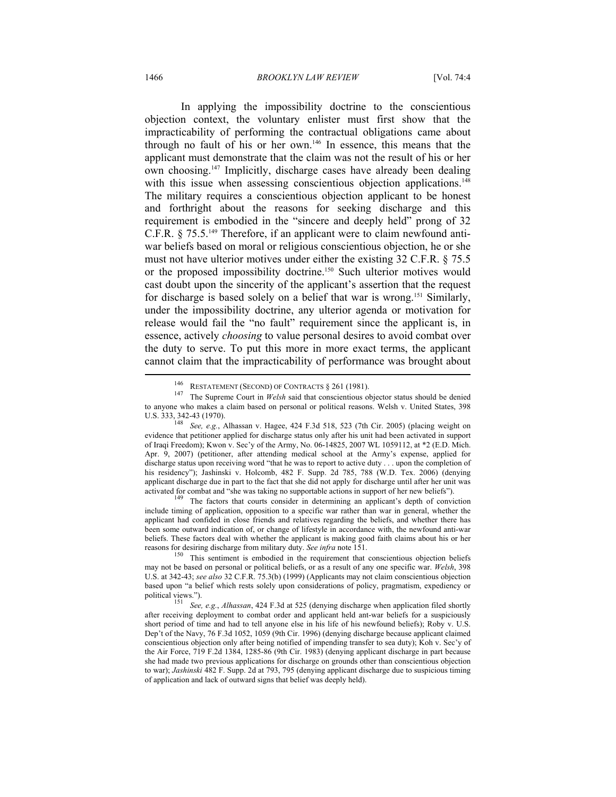#### 1466 *BROOKLYN LAW REVIEW* [Vol. 74:4

In applying the impossibility doctrine to the conscientious objection context, the voluntary enlister must first show that the impracticability of performing the contractual obligations came about through no fault of his or her own.146 In essence, this means that the applicant must demonstrate that the claim was not the result of his or her own choosing.147 Implicitly, discharge cases have already been dealing with this issue when assessing conscientious objection applications.<sup>148</sup> The military requires a conscientious objection applicant to be honest and forthright about the reasons for seeking discharge and this requirement is embodied in the "sincere and deeply held" prong of 32 C.F.R. § 75.5.149 Therefore, if an applicant were to claim newfound antiwar beliefs based on moral or religious conscientious objection, he or she must not have ulterior motives under either the existing 32 C.F.R. § 75.5 or the proposed impossibility doctrine.150 Such ulterior motives would cast doubt upon the sincerity of the applicant's assertion that the request for discharge is based solely on a belief that war is wrong.151 Similarly, under the impossibility doctrine, any ulterior agenda or motivation for release would fail the "no fault" requirement since the applicant is, in essence, actively *choosing* to value personal desires to avoid combat over the duty to serve. To put this more in more exact terms, the applicant cannot claim that the impracticability of performance was brought about

include timing of application, opposition to a specific war rather than war in general, whether the applicant had confided in close friends and relatives regarding the beliefs, and whether there has been some outward indication of, or change of lifestyle in accordance with, the newfound anti-war beliefs. These factors deal with whether the applicant is making good faith claims about his or her reasons for desiring discharge from military duty. See infra note 151.

This sentiment is embodied in the requirement that conscientious objection beliefs may not be based on personal or political beliefs, or as a result of any one specific war. *Welsh*, 398 U.S. at 342-43; *see also* 32 C.F.R. 75.3(b) (1999) (Applicants may not claim conscientious objection based upon "a belief which rests solely upon considerations of policy, pragmatism, expediency or

<sup>146</sup> RESTATEMENT (SECOND) OF CONTRACTS § 261 (1981). 147 The Supreme Court in *Welsh* said that conscientious objector status should be denied to anyone who makes a claim based on personal or political reasons. Welsh v. United States, 398 U.S. 333, 342-43 (1970).

<sup>&</sup>lt;sup>148</sup> See, e.g., Alhassan v. Hagee, 424 F.3d 518, 523 (7th Cir. 2005) (placing weight on evidence that petitioner applied for discharge status only after his unit had been activated in support of Iraqi Freedom); Kwon v. Sec'y of the Army, No. 06-14825, 2007 WL 1059112, at \*2 (E.D. Mich. Apr. 9, 2007) (petitioner, after attending medical school at the Army's expense, applied for discharge status upon receiving word "that he was to report to active duty . . . upon the completion of his residency"); Jashinski v. Holcomb, 482 F. Supp. 2d 785, 788 (W.D. Tex. 2006) (denying applicant discharge due in part to the fact that she did not apply for discharge until after her unit was activated for combat and "she was taking no supportable actions in support of her new beliefs").<br><sup>149</sup> The factors that courts consider in determining an applicant's depth of conviction

political views.").<br><sup>151</sup> *See, e.g., Alhassan*, 424 F.3d at 525 (denying discharge when application filed shortly after receiving deployment to combat order and applicant held ant-war beliefs for a suspiciously short period of time and had to tell anyone else in his life of his newfound beliefs); Roby v. U.S. Dep't of the Navy, 76 F.3d 1052, 1059 (9th Cir. 1996) (denying discharge because applicant claimed conscientious objection only after being notified of impending transfer to sea duty); Koh v. Sec'y of the Air Force, 719 F.2d 1384, 1285-86 (9th Cir. 1983) (denying applicant discharge in part because she had made two previous applications for discharge on grounds other than conscientious objection to war); *Jashinski* 482 F. Supp. 2d at 793, 795 (denying applicant discharge due to suspicious timing of application and lack of outward signs that belief was deeply held).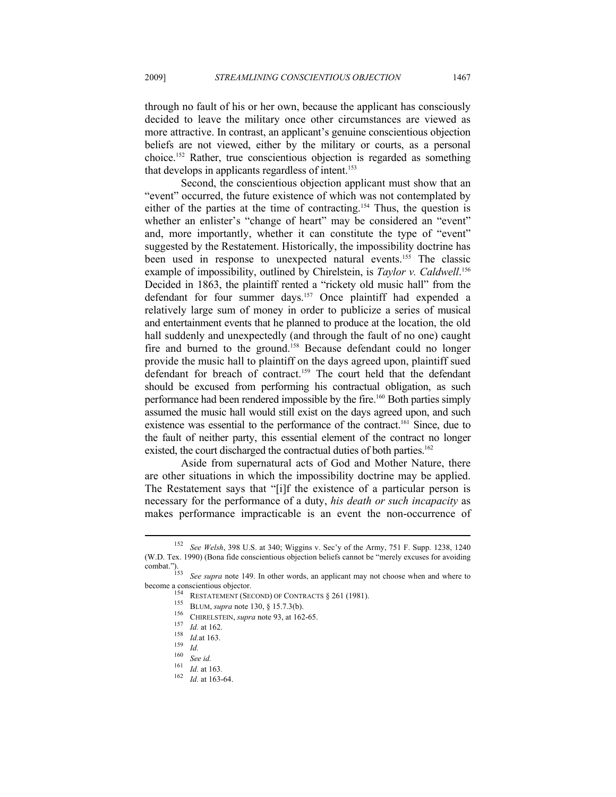through no fault of his or her own, because the applicant has consciously decided to leave the military once other circumstances are viewed as more attractive. In contrast, an applicant's genuine conscientious objection beliefs are not viewed, either by the military or courts, as a personal choice.152 Rather, true conscientious objection is regarded as something that develops in applicants regardless of intent.<sup>153</sup>

Second, the conscientious objection applicant must show that an "event" occurred, the future existence of which was not contemplated by either of the parties at the time of contracting.<sup>154</sup> Thus, the question is whether an enlister's "change of heart" may be considered an "event" and, more importantly, whether it can constitute the type of "event" suggested by the Restatement. Historically, the impossibility doctrine has been used in response to unexpected natural events.<sup>155</sup> The classic example of impossibility, outlined by Chirelstein, is *Taylor v. Caldwell*. 156 Decided in 1863, the plaintiff rented a "rickety old music hall" from the defendant for four summer days.157 Once plaintiff had expended a relatively large sum of money in order to publicize a series of musical and entertainment events that he planned to produce at the location, the old hall suddenly and unexpectedly (and through the fault of no one) caught fire and burned to the ground.<sup>158</sup> Because defendant could no longer provide the music hall to plaintiff on the days agreed upon, plaintiff sued defendant for breach of contract.159 The court held that the defendant should be excused from performing his contractual obligation, as such performance had been rendered impossible by the fire.160 Both parties simply assumed the music hall would still exist on the days agreed upon, and such existence was essential to the performance of the contract.<sup>161</sup> Since, due to the fault of neither party, this essential element of the contract no longer existed, the court discharged the contractual duties of both parties.<sup>162</sup>

Aside from supernatural acts of God and Mother Nature, there are other situations in which the impossibility doctrine may be applied. The Restatement says that "[i]f the existence of a particular person is necessary for the performance of a duty, *his death or such incapacity* as makes performance impracticable is an event the non-occurrence of

<sup>152</sup> *See Welsh*, 398 U.S. at 340; Wiggins v. Sec'y of the Army, 751 F. Supp. 1238, 1240 (W.D. Tex. 1990) (Bona fide conscientious objection beliefs cannot be "merely excuses for avoiding combat.").

<sup>&</sup>lt;sup>153</sup> See supra note 149. In other words, an applicant may not choose when and where to become a conscientious objector.<br>
<sup>154</sup> Pressure (Care is a Care is a Care is a Care is a Care is a Care is a Care is a Care is a Car become a conscientious objector.<br>
<sup>154</sup> RESTATEMENT (SECOND) OF CONTRACTS § 261 (1981).<br>
<sup>155</sup> BLUM, *supra* note 130, § 15.7.3(b).<br>
<sup>156</sup> CHIRELSTEIN, *supra* note 93, at 162-65.<br>
<sup>157</sup> Id. at 162.<br>
<sup>158</sup> Id. at 163.<br>
<sup>1</sup>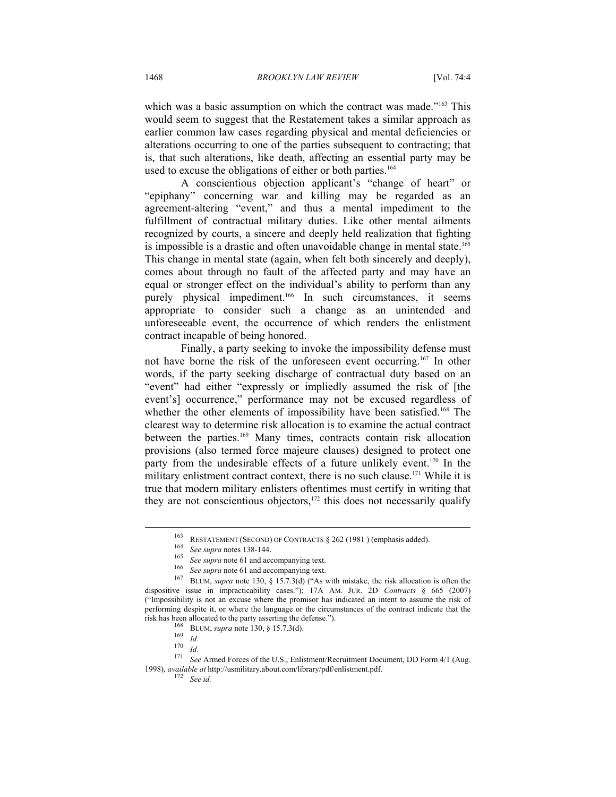which was a basic assumption on which the contract was made."<sup>163</sup> This would seem to suggest that the Restatement takes a similar approach as earlier common law cases regarding physical and mental deficiencies or alterations occurring to one of the parties subsequent to contracting; that is, that such alterations, like death, affecting an essential party may be used to excuse the obligations of either or both parties.<sup>164</sup>

A conscientious objection applicant's "change of heart" or "epiphany" concerning war and killing may be regarded as an agreement-altering "event," and thus a mental impediment to the fulfillment of contractual military duties. Like other mental ailments recognized by courts, a sincere and deeply held realization that fighting is impossible is a drastic and often unavoidable change in mental state.<sup>165</sup> This change in mental state (again, when felt both sincerely and deeply), comes about through no fault of the affected party and may have an equal or stronger effect on the individual's ability to perform than any purely physical impediment.<sup>166</sup> In such circumstances, it seems appropriate to consider such a change as an unintended and unforeseeable event, the occurrence of which renders the enlistment contract incapable of being honored.

Finally, a party seeking to invoke the impossibility defense must not have borne the risk of the unforeseen event occurring.167 In other words, if the party seeking discharge of contractual duty based on an "event" had either "expressly or impliedly assumed the risk of [the event's] occurrence," performance may not be excused regardless of whether the other elements of impossibility have been satisfied.<sup>168</sup> The clearest way to determine risk allocation is to examine the actual contract between the parties.<sup>169</sup> Many times, contracts contain risk allocation provisions (also termed force majeure clauses) designed to protect one party from the undesirable effects of a future unlikely event.<sup>170</sup> In the military enlistment contract context, there is no such clause.<sup>171</sup> While it is true that modern military enlisters oftentimes must certify in writing that they are not conscientious objectors, $172$  this does not necessarily qualify

<sup>&</sup>lt;sup>163</sup> RESTATEMENT (SECOND) OF CONTRACTS § 262 (1981) (emphasis added).<br><sup>164</sup> See supra notes 138-144.<br><sup>165</sup> See supra note 61 and accompanying text.<br><sup>166</sup> See supra note 61 and accompanying text.<br><sup>167</sup> BLUM, *supra* note dispositive issue in impracticability cases."); 17A AM. JUR. 2D *Contracts* § 665 (2007) ("Impossibility is not an excuse where the promisor has indicated an intent to assume the risk of performing despite it, or where the language or the circumstances of the contract indicate that the

risk has been allocated to the party asserting the defense.").<br>
<sup>168</sup> BLUM, *supra* note 130, § 15.7.3(d).<br>
<sup>169</sup> Id.<br>
<sup>170</sup> Id.<br>
<sup>271</sup> See Armed Forces of the U.S., Enlistment/Recruitment Document, DD Form 4/1 (Aug. 1998), *available at* http://usmilitary.about.com/library/pdf/enlistment.pdf. 172 *See id.*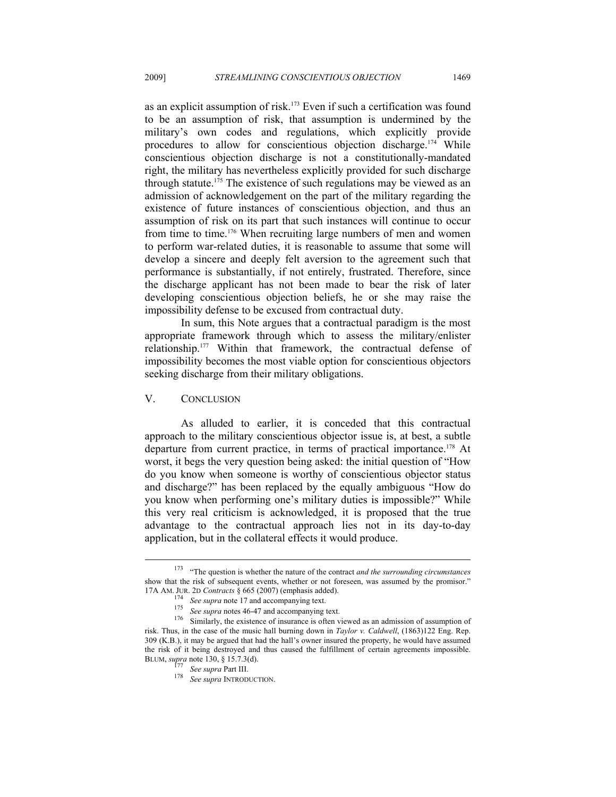as an explicit assumption of risk.173 Even if such a certification was found to be an assumption of risk, that assumption is undermined by the military's own codes and regulations, which explicitly provide procedures to allow for conscientious objection discharge.<sup>174</sup> While conscientious objection discharge is not a constitutionally-mandated right, the military has nevertheless explicitly provided for such discharge through statute.<sup>175</sup> The existence of such regulations may be viewed as an admission of acknowledgement on the part of the military regarding the existence of future instances of conscientious objection, and thus an assumption of risk on its part that such instances will continue to occur from time to time.176 When recruiting large numbers of men and women to perform war-related duties, it is reasonable to assume that some will develop a sincere and deeply felt aversion to the agreement such that performance is substantially, if not entirely, frustrated. Therefore, since the discharge applicant has not been made to bear the risk of later developing conscientious objection beliefs, he or she may raise the impossibility defense to be excused from contractual duty.

In sum, this Note argues that a contractual paradigm is the most appropriate framework through which to assess the military/enlister relationship.177 Within that framework, the contractual defense of impossibility becomes the most viable option for conscientious objectors seeking discharge from their military obligations.

#### V. CONCLUSION

 $\overline{a}$ 

As alluded to earlier, it is conceded that this contractual approach to the military conscientious objector issue is, at best, a subtle departure from current practice, in terms of practical importance.<sup>178</sup> At worst, it begs the very question being asked: the initial question of "How do you know when someone is worthy of conscientious objector status and discharge?" has been replaced by the equally ambiguous "How do you know when performing one's military duties is impossible?" While this very real criticism is acknowledged, it is proposed that the true advantage to the contractual approach lies not in its day-to-day application, but in the collateral effects it would produce.

<sup>173 &</sup>quot;The question is whether the nature of the contract *and the surrounding circumstances* show that the risk of subsequent events, whether or not foreseen, was assumed by the promisor."

<sup>17</sup>A AM. JUR. 2D Contracts § 665 (2007) (emphasis added).<br>
<sup>174</sup> See supra note 17 and accompanying text.<br>
<sup>175</sup> See supra notes 46-47 and accompanying text.<br>
<sup>176</sup> Similarly, the existence of insurance is often viewed as risk. Thus, in the case of the music hall burning down in *Taylor v. Caldwell*, (1863)122 Eng. Rep. 309 (K.B.), it may be argued that had the hall's owner insured the property, he would have assumed the risk of it being destroyed and thus caused the fulfillment of certain agreements impossible.<br>BLUM, supra note 130, § 15.7.3(d).

<sup>&</sup>lt;sup>177</sup> See supra Part III.<br><sup>178</sup> See supra INTRODUCTION.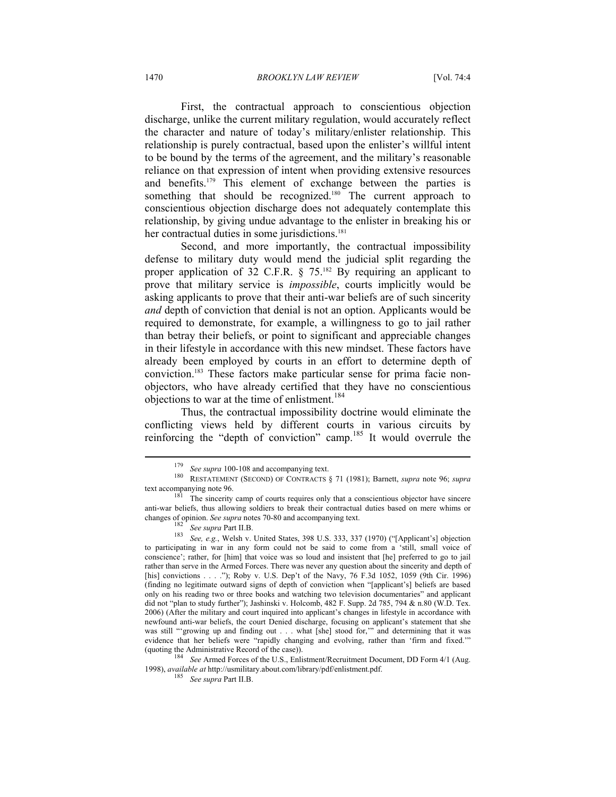First, the contractual approach to conscientious objection discharge, unlike the current military regulation, would accurately reflect the character and nature of today's military/enlister relationship. This relationship is purely contractual, based upon the enlister's willful intent to be bound by the terms of the agreement, and the military's reasonable reliance on that expression of intent when providing extensive resources and benefits.179 This element of exchange between the parties is something that should be recognized.<sup>180</sup> The current approach to conscientious objection discharge does not adequately contemplate this relationship, by giving undue advantage to the enlister in breaking his or her contractual duties in some jurisdictions.<sup>181</sup>

Second, and more importantly, the contractual impossibility defense to military duty would mend the judicial split regarding the proper application of 32 C.F.R.  $\S$  75.<sup>182</sup> By requiring an applicant to prove that military service is *impossible*, courts implicitly would be asking applicants to prove that their anti-war beliefs are of such sincerity *and* depth of conviction that denial is not an option. Applicants would be required to demonstrate, for example, a willingness to go to jail rather than betray their beliefs, or point to significant and appreciable changes in their lifestyle in accordance with this new mindset. These factors have already been employed by courts in an effort to determine depth of conviction.183 These factors make particular sense for prima facie nonobjectors, who have already certified that they have no conscientious objections to war at the time of enlistment.<sup>184</sup>

Thus, the contractual impossibility doctrine would eliminate the conflicting views held by different courts in various circuits by reinforcing the "depth of conviction" camp.185 It would overrule the

 $\overline{a}$ 

1998), *available at* http://usmilitary.about.com/library/pdf/enlistment.pdf. 185 *See supra* Part II.B.

<sup>179</sup> *See supra* 100-108 and accompanying text. 180 RESTATEMENT (SECOND) OF CONTRACTS § 71 (1981); Barnett, *supra* note 96; *supra* 

text accompanying note 96. The sincerity camp of courts requires only that a conscientious objector have sincere anti-war beliefs, thus allowing soldiers to break their contractual duties based on mere whims or changes of opinion. *See supra* notes 70-80 and accompanying text.<br><sup>182</sup> *See supra* Part II.B.<br><sup>183</sup> *See, e.g.*, Welsh v. United States, 398 U.S. 333, 337 (1970) ("[Applicant's] objection

to participating in war in any form could not be said to come from a 'still, small voice of conscience'; rather, for [him] that voice was so loud and insistent that [he] preferred to go to jail rather than serve in the Armed Forces. There was never any question about the sincerity and depth of [his] convictions . . . ."); Roby v. U.S. Dep't of the Navy, 76 F.3d 1052, 1059 (9th Cir. 1996) (finding no legitimate outward signs of depth of conviction when "[applicant's] beliefs are based only on his reading two or three books and watching two television documentaries" and applicant did not "plan to study further"); Jashinski v. Holcomb, 482 F. Supp. 2d 785, 794 & n.80 (W.D. Tex. 2006) (After the military and court inquired into applicant's changes in lifestyle in accordance with newfound anti-war beliefs, the court Denied discharge, focusing on applicant's statement that she was still "'growing up and finding out . . . what [she] stood for," and determining that it was evidence that her beliefs were "rapidly changing and evolving, rather than 'firm and fixed.'" (quoting the Administrative Record of the case)). 184 *See* Armed Forces of the U.S., Enlistment/Recruitment Document, DD Form 4/1 (Aug.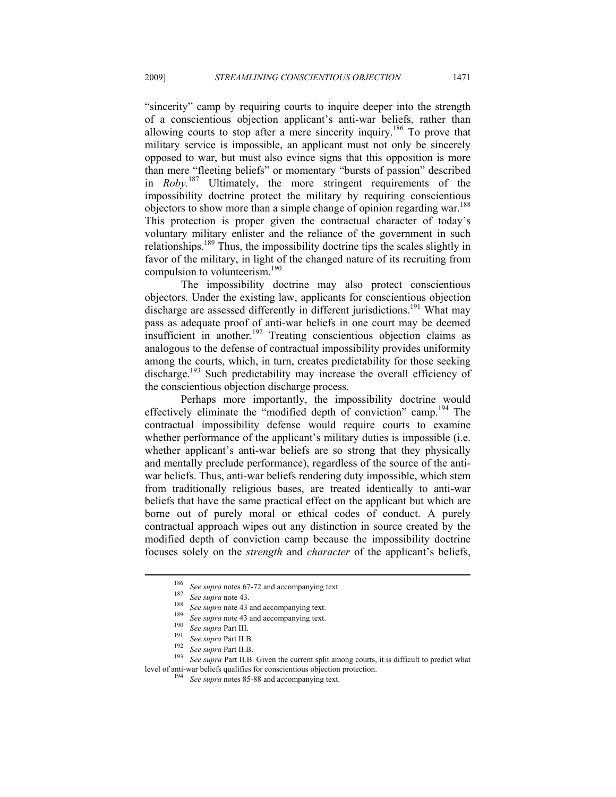"sincerity" camp by requiring courts to inquire deeper into the strength of a conscientious objection applicant's anti-war beliefs, rather than allowing courts to stop after a mere sincerity inquiry.186 To prove that military service is impossible, an applicant must not only be sincerely opposed to war, but must also evince signs that this opposition is more than mere "fleeting beliefs" or momentary "bursts of passion" described in *Roby.*187 Ultimately, the more stringent requirements of the impossibility doctrine protect the military by requiring conscientious objectors to show more than a simple change of opinion regarding war.<sup>188</sup> This protection is proper given the contractual character of today's voluntary military enlister and the reliance of the government in such relationships.189 Thus, the impossibility doctrine tips the scales slightly in favor of the military, in light of the changed nature of its recruiting from compulsion to volunteerism.<sup>190</sup>

The impossibility doctrine may also protect conscientious objectors. Under the existing law, applicants for conscientious objection discharge are assessed differently in different jurisdictions.<sup>191</sup> What may pass as adequate proof of anti-war beliefs in one court may be deemed insufficient in another.<sup>192</sup> Treating conscientious objection claims as analogous to the defense of contractual impossibility provides uniformity among the courts, which, in turn, creates predictability for those seeking discharge.<sup>193</sup> Such predictability may increase the overall efficiency of the conscientious objection discharge process.

Perhaps more importantly, the impossibility doctrine would effectively eliminate the "modified depth of conviction" camp.194 The contractual impossibility defense would require courts to examine whether performance of the applicant's military duties is impossible (i.e. whether applicant's anti-war beliefs are so strong that they physically and mentally preclude performance), regardless of the source of the antiwar beliefs. Thus, anti-war beliefs rendering duty impossible, which stem from traditionally religious bases, are treated identically to anti-war beliefs that have the same practical effect on the applicant but which are borne out of purely moral or ethical codes of conduct. A purely contractual approach wipes out any distinction in source created by the modified depth of conviction camp because the impossibility doctrine focuses solely on the *strength* and *character* of the applicant's beliefs,

<sup>&</sup>lt;sup>186</sup> See supra notes 67-72 and accompanying text.<br>
<sup>187</sup> See supra note 43.<br>
<sup>188</sup> See supra note 43 and accompanying text.<br>
<sup>189</sup> See supra note 43 and accompanying text.<br>
<sup>190</sup> See supra Part III.<br>
<sup>191</sup> See supra Part level of anti-war beliefs qualifies for conscientious objection protection. 194 *See supra* notes 85-88 and accompanying text.